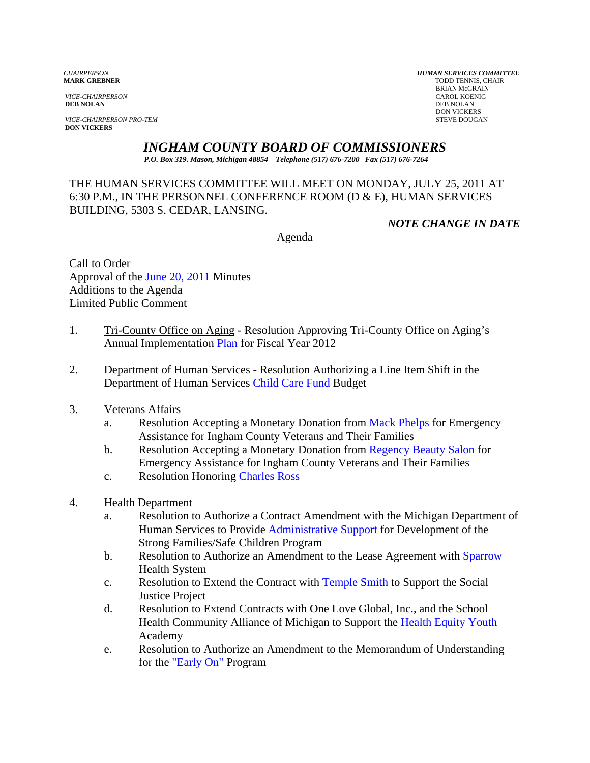*VICE-CHAIRPERSON* CAROL KOENIG CAROL KOENIG CAROL KOENIG CAROL KOENIG CAROL KOENIG CAROL KOENIG CAROL KOENIG CAROL KOENIG CAROL KOENIG KOENIG CAROL KOENIG CAROL KOENIG CAROL KOENIG CAROL KOENIG CAROL KOENIG CAROL KOENIG C **DEB NOLAN** DEB NOLAN

**VICE-CHAIRPERSON PRO-TEM** STEVE DOUGAN **DON VICKERS** 

*CHAIRPERSON HUMAN SERVICES COMMITTEE* TODD TENNIS, CHAIR BRIAN McGRAIN<br>CAROL KOENIG DON VICKERS

# *INGHAM COUNTY BOARD OF COMMISSIONERS*

*P.O. Box 319. Mason, Michigan 48854 Telephone (517) 676-7200 Fax (517) 676-7264*

# THE HUMAN SERVICES COMMITTEE WILL MEET ON MONDAY, JULY 25, 2011 AT 6:30 P.M., IN THE PERSONNEL CONFERENCE ROOM (D & E), HUMAN SERVICES BUILDING, 5303 S. CEDAR, LANSING.

*NOTE CHANGE IN DATE* 

Agenda

Call to Order Approval of [the June 20, 2011 Minutes](#page-2-0)  Additions to the Agenda Limited Public Comment

- 1. Tri-County Office on Aging Resolution Approving Tri-County Office on Aging's Annual Implementat[ion Plan for Fiscal Ye](#page-8-0)ar 2012
- 2. Department of Human Services Resolution Authorizing a Line Item Shift in the Department of Human Servic[es Child Care Fund Budget](#page-10-0)
- 3. Veterans Affairs
	- a. Resolution Accepting a Monetary Donation fro[m Mack Phelps for Eme](#page-12-0)rgency Assistance for Ingham County Veterans and Their Families
	- b. Resolution Accepting a Monetary Donation fro[m Regency Beauty Salon for](#page-14-0)  Emergency Assistance for Ingham County Veterans and Their Families
	- c. Resolution Honori[ng Charles Ross](#page-16-0)
- 4. Health Department
	- a. Resolution to Authorize a Contract Amendment with the Michigan Department of Human Services to Prov[ide Administrative Support for De](#page-18-0)velopment of the Strong Families/Safe Children Program
	- b. Resolution to Authorize an Amendment to the Lease Agreement with Sparrow Health System
	- c. Resolution to Extend the Contract wi[th Temple Smith to Supp](#page-23-0)ort the Social Justice Project
	- d. Resolution to Extend Contracts with One Love Global, Inc., and the School Health Community Alliance of Michigan to Support t[he Health Equity Youth](#page-25-0)  Academy
	- e. Resolution to Authorize an Amendment to the Memorandum of Understanding for [the "Early On" Program](#page-28-0)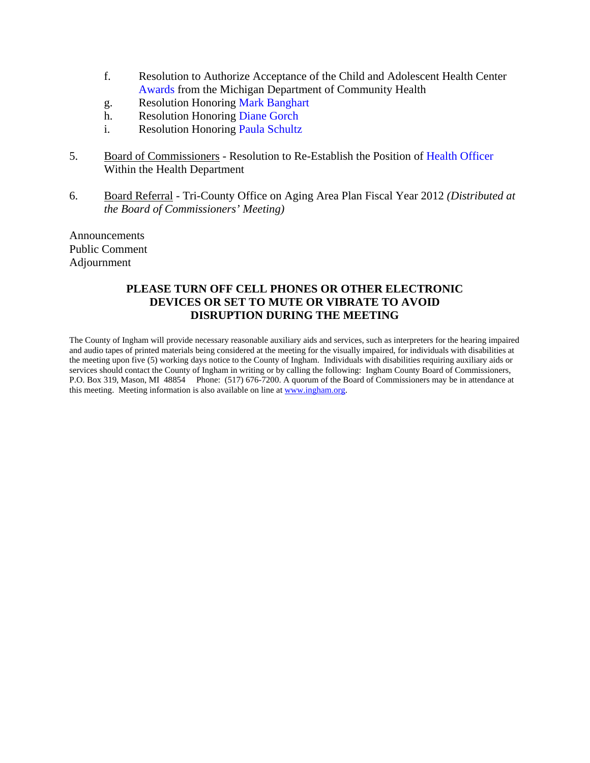- f. Resolution to Authorize Acceptance of the Child and Adolescent Health Center [Awards from the](#page-31-0) Michigan Department of Community Health
- g. Resolution Honorin[g Mark Banghart](#page-35-0)
- h. Resolution Honorin[g Diane Gorch](#page-36-0)
- i. Resolution Honoring Paula Schultz
- 5. Board of Commissioners Resolution to Re-Establish the Position [of Health Officer](#page-39-0) Within the Health Department
- 6. Board Referral Tri-County Office on Aging Area Plan Fiscal Year 2012 *(Distributed at the Board of Commissioners' Meeting)*

Announcements Public Comment Adjournment

#### **PLEASE TURN OFF CELL PHONES OR OTHER ELECTRONIC DEVICES OR SET TO MUTE OR VIBRATE TO AVOID DISRUPTION DURING THE MEETING**

The County of Ingham will provide necessary reasonable auxiliary aids and services, such as interpreters for the hearing impaired and audio tapes of printed materials being considered at the meeting for the visually impaired, for individuals with disabilities at the meeting upon five (5) working days notice to the County of Ingham. Individuals with disabilities requiring auxiliary aids or services should contact the County of Ingham in writing or by calling the following: Ingham County Board of Commissioners, P.O. Box 319, Mason, MI 48854 Phone: (517) 676-7200. A quorum of the Board of Commissioners may be in attendance at this meeting. Meeting information is also available on line at www.ingham.org.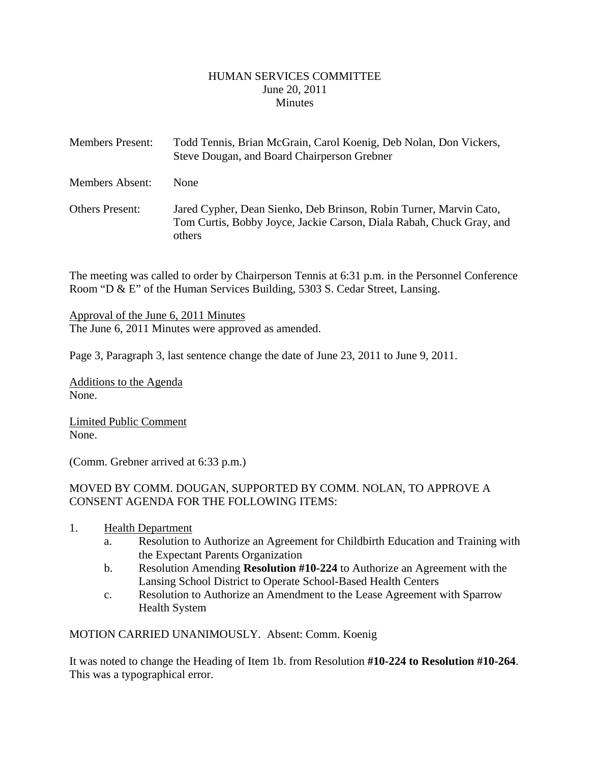#### HUMAN SERVICES COMMITTEE June 20, 2011 **Minutes**

<span id="page-2-0"></span>

| <b>Members Present:</b> | Todd Tennis, Brian McGrain, Carol Koenig, Deb Nolan, Don Vickers,<br>Steve Dougan, and Board Chairperson Grebner                                     |
|-------------------------|------------------------------------------------------------------------------------------------------------------------------------------------------|
| <b>Members Absent:</b>  | None                                                                                                                                                 |
| <b>Others Present:</b>  | Jared Cypher, Dean Sienko, Deb Brinson, Robin Turner, Marvin Cato,<br>Tom Curtis, Bobby Joyce, Jackie Carson, Diala Rabah, Chuck Gray, and<br>others |

The meeting was called to order by Chairperson Tennis at 6:31 p.m. in the Personnel Conference Room "D & E" of the Human Services Building, 5303 S. Cedar Street, Lansing.

Approval of the June 6, 2011 Minutes The June 6, 2011 Minutes were approved as amended.

Page 3, Paragraph 3, last sentence change the date of June 23, 2011 to June 9, 2011.

Additions to the Agenda None.

Limited Public Comment None.

(Comm. Grebner arrived at 6:33 p.m.)

# MOVED BY COMM. DOUGAN, SUPPORTED BY COMM. NOLAN, TO APPROVE A CONSENT AGENDA FOR THE FOLLOWING ITEMS:

- 1. Health Department
	- a. Resolution to Authorize an Agreement for Childbirth Education and Training with the Expectant Parents Organization
	- b. Resolution Amending **Resolution #10-224** to Authorize an Agreement with the Lansing School District to Operate School-Based Health Centers
	- c. Resolution to Authorize an Amendment to the Lease Agreement with Sparrow Health System

MOTION CARRIED UNANIMOUSLY. Absent: Comm. Koenig

It was noted to change the Heading of Item 1b. from Resolution **#10-224 to Resolution #10-264**. This was a typographical error.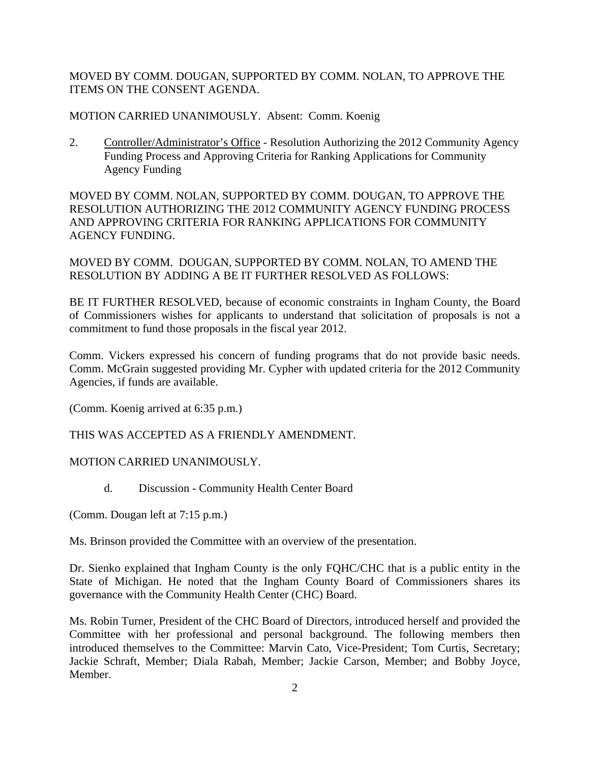MOVED BY COMM. DOUGAN, SUPPORTED BY COMM. NOLAN, TO APPROVE THE ITEMS ON THE CONSENT AGENDA.

MOTION CARRIED UNANIMOUSLY. Absent: Comm. Koenig

2. Controller/Administrator's Office - Resolution Authorizing the 2012 Community Agency Funding Process and Approving Criteria for Ranking Applications for Community Agency Funding

MOVED BY COMM. NOLAN, SUPPORTED BY COMM. DOUGAN, TO APPROVE THE RESOLUTION AUTHORIZING THE 2012 COMMUNITY AGENCY FUNDING PROCESS AND APPROVING CRITERIA FOR RANKING APPLICATIONS FOR COMMUNITY AGENCY FUNDING.

MOVED BY COMM. DOUGAN, SUPPORTED BY COMM. NOLAN, TO AMEND THE RESOLUTION BY ADDING A BE IT FURTHER RESOLVED AS FOLLOWS:

BE IT FURTHER RESOLVED, because of economic constraints in Ingham County, the Board of Commissioners wishes for applicants to understand that solicitation of proposals is not a commitment to fund those proposals in the fiscal year 2012.

Comm. Vickers expressed his concern of funding programs that do not provide basic needs. Comm. McGrain suggested providing Mr. Cypher with updated criteria for the 2012 Community Agencies, if funds are available.

(Comm. Koenig arrived at 6:35 p.m.)

THIS WAS ACCEPTED AS A FRIENDLY AMENDMENT.

#### MOTION CARRIED UNANIMOUSLY.

d. Discussion - Community Health Center Board

(Comm. Dougan left at 7:15 p.m.)

Ms. Brinson provided the Committee with an overview of the presentation.

Dr. Sienko explained that Ingham County is the only FQHC/CHC that is a public entity in the State of Michigan. He noted that the Ingham County Board of Commissioners shares its governance with the Community Health Center (CHC) Board.

Ms. Robin Turner, President of the CHC Board of Directors, introduced herself and provided the Committee with her professional and personal background. The following members then introduced themselves to the Committee: Marvin Cato, Vice-President; Tom Curtis, Secretary; Jackie Schraft, Member; Diala Rabah, Member; Jackie Carson, Member; and Bobby Joyce, Member.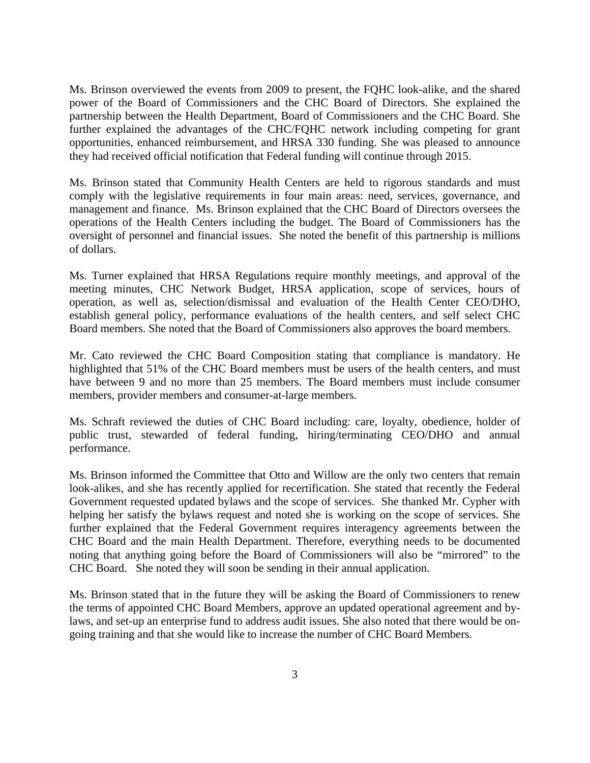Ms. Brinson overviewed the events from 2009 to present, the FQHC look-alike, and the shared power of the Board of Commissioners and the CHC Board of Directors. She explained the partnership between the Health Department, Board of Commissioners and the CHC Board. She further explained the advantages of the CHC/FQHC network including competing for grant opportunities, enhanced reimbursement, and HRSA 330 funding. She was pleased to announce they had received official notification that Federal funding will continue through 2015.

Ms. Brinson stated that Community Health Centers are held to rigorous standards and must comply with the legislative requirements in four main areas: need, services, governance, and management and finance. Ms. Brinson explained that the CHC Board of Directors oversees the operations of the Health Centers including the budget. The Board of Commissioners has the oversight of personnel and financial issues. She noted the benefit of this partnership is millions of dollars.

Ms. Turner explained that HRSA Regulations require monthly meetings, and approval of the meeting minutes, CHC Network Budget, HRSA application, scope of services, hours of operation, as well as, selection/dismissal and evaluation of the Health Center CEO/DHO, establish general policy, performance evaluations of the health centers, and self select CHC Board members. She noted that the Board of Commissioners also approves the board members.

Mr. Cato reviewed the CHC Board Composition stating that compliance is mandatory. He highlighted that 51% of the CHC Board members must be users of the health centers, and must have between 9 and no more than 25 members. The Board members must include consumer members, provider members and consumer-at-large members.

Ms. Schraft reviewed the duties of CHC Board including: care, loyalty, obedience, holder of public trust, stewarded of federal funding, hiring/terminating CEO/DHO and annual performance.

Ms. Brinson informed the Committee that Otto and Willow are the only two centers that remain look-alikes, and she has recently applied for recertification. She stated that recently the Federal Government requested updated bylaws and the scope of services. She thanked Mr. Cypher with helping her satisfy the bylaws request and noted she is working on the scope of services. She further explained that the Federal Government requires interagency agreements between the CHC Board and the main Health Department. Therefore, everything needs to be documented noting that anything going before the Board of Commissioners will also be "mirrored" to the CHC Board. She noted they will soon be sending in their annual application.

Ms. Brinson stated that in the future they will be asking the Board of Commissioners to renew the terms of appointed CHC Board Members, approve an updated operational agreement and bylaws, and set-up an enterprise fund to address audit issues. She also noted that there would be ongoing training and that she would like to increase the number of CHC Board Members.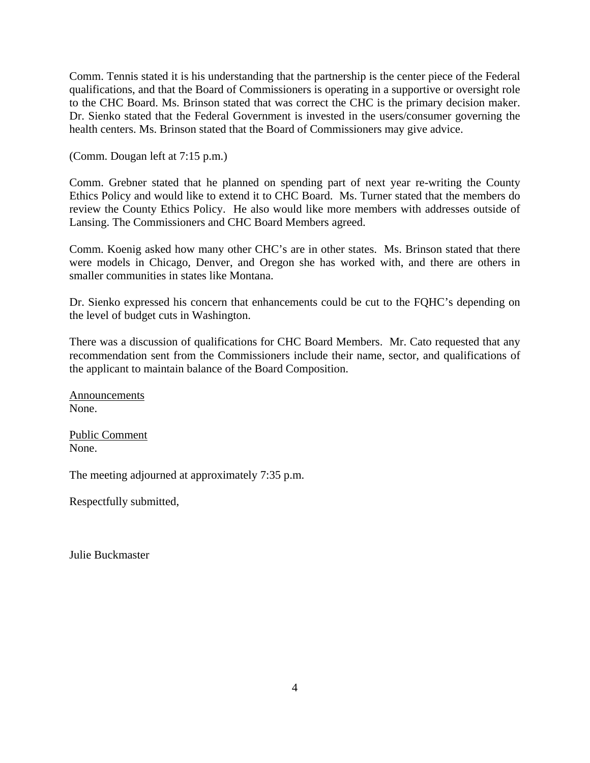Comm. Tennis stated it is his understanding that the partnership is the center piece of the Federal qualifications, and that the Board of Commissioners is operating in a supportive or oversight role to the CHC Board. Ms. Brinson stated that was correct the CHC is the primary decision maker. Dr. Sienko stated that the Federal Government is invested in the users/consumer governing the health centers. Ms. Brinson stated that the Board of Commissioners may give advice.

(Comm. Dougan left at 7:15 p.m.)

Comm. Grebner stated that he planned on spending part of next year re-writing the County Ethics Policy and would like to extend it to CHC Board. Ms. Turner stated that the members do review the County Ethics Policy. He also would like more members with addresses outside of Lansing. The Commissioners and CHC Board Members agreed.

Comm. Koenig asked how many other CHC's are in other states. Ms. Brinson stated that there were models in Chicago, Denver, and Oregon she has worked with, and there are others in smaller communities in states like Montana.

Dr. Sienko expressed his concern that enhancements could be cut to the FQHC's depending on the level of budget cuts in Washington.

There was a discussion of qualifications for CHC Board Members. Mr. Cato requested that any recommendation sent from the Commissioners include their name, sector, and qualifications of the applicant to maintain balance of the Board Composition.

Announcements None.

Public Comment None.

The meeting adjourned at approximately 7:35 p.m.

Respectfully submitted,

Julie Buckmaster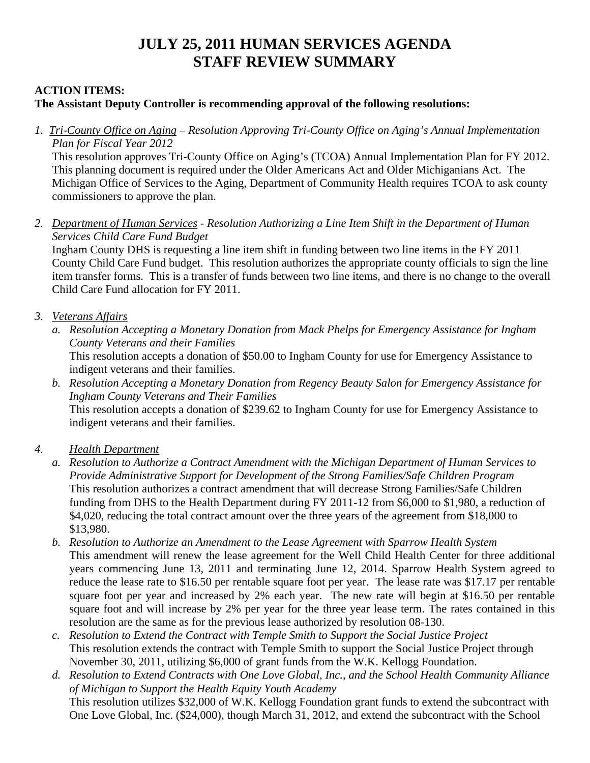# **JULY 25, 2011 HUMAN SERVICES AGENDA STAFF REVIEW SUMMARY**

# **ACTION ITEMS:**

# **The Assistant Deputy Controller is recommending approval of the following resolutions:**

*1. Tri-County Office on Aging – Resolution Approving Tri-County Office on Aging's Annual Implementation Plan for Fiscal Year 2012*

 This resolution approves Tri-County Office on Aging's (TCOA) Annual Implementation Plan for FY 2012. This planning document is required under the Older Americans Act and Older Michiganians Act. The Michigan Office of Services to the Aging, Department of Community Health requires TCOA to ask county commissioners to approve the plan.

*2. Department of Human Services - Resolution Authorizing a Line Item Shift in the Department of Human Services Child Care Fund Budget*

Ingham County DHS is requesting a line item shift in funding between two line items in the FY 2011 County Child Care Fund budget. This resolution authorizes the appropriate county officials to sign the line item transfer forms. This is a transfer of funds between two line items, and there is no change to the overall Child Care Fund allocation for FY 2011.

# *3. Veterans Affairs*

- *a. Resolution Accepting a Monetary Donation from Mack Phelps for Emergency Assistance for Ingham County Veterans and their Families*  This resolution accepts a donation of \$50.00 to Ingham County for use for Emergency Assistance to indigent veterans and their families.
- *b. Resolution Accepting a Monetary Donation from Regency Beauty Salon for Emergency Assistance for Ingham County Veterans and Their Families*

This resolution accepts a donation of \$239.62 to Ingham County for use for Emergency Assistance to indigent veterans and their families.

- *4. Health Department*
	- *a. Resolution to Authorize a Contract Amendment with the Michigan Department of Human Services to Provide Administrative Support for Development of the Strong Families/Safe Children Program*  This resolution authorizes a contract amendment that will decrease Strong Families/Safe Children funding from DHS to the Health Department during FY 2011-12 from \$6,000 to \$1,980, a reduction of \$4,020, reducing the total contract amount over the three years of the agreement from \$18,000 to \$13,980.
	- *b. Resolution to Authorize an Amendment to the Lease Agreement with Sparrow Health System*  This amendment will renew the lease agreement for the Well Child Health Center for three additional years commencing June 13, 2011 and terminating June 12, 2014. Sparrow Health System agreed to reduce the lease rate to \$16.50 per rentable square foot per year. The lease rate was \$17.17 per rentable square foot per year and increased by 2% each year. The new rate will begin at \$16.50 per rentable square foot and will increase by 2% per year for the three year lease term. The rates contained in this resolution are the same as for the previous lease authorized by resolution 08-130.
	- *c. Resolution to Extend the Contract with Temple Smith to Support the Social Justice Project*  This resolution extends the contract with Temple Smith to support the Social Justice Project through November 30, 2011, utilizing \$6,000 of grant funds from the W.K. Kellogg Foundation.
	- *d. Resolution to Extend Contracts with One Love Global, Inc., and the School Health Community Alliance of Michigan to Support the Health Equity Youth Academy*  This resolution utilizes \$32,000 of W.K. Kellogg Foundation grant funds to extend the subcontract with One Love Global, Inc. (\$24,000), though March 31, 2012, and extend the subcontract with the School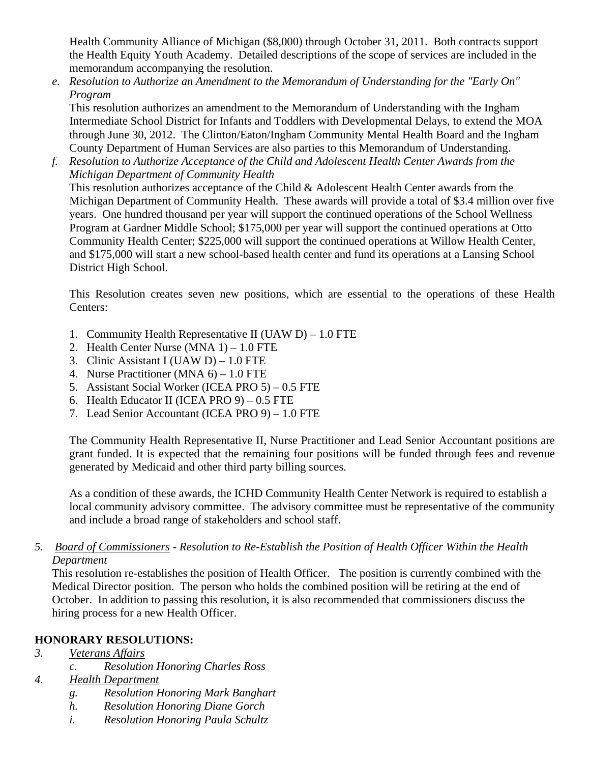Health Community Alliance of Michigan (\$8,000) through October 31, 2011. Both contracts support the Health Equity Youth Academy. Detailed descriptions of the scope of services are included in the memorandum accompanying the resolution.

*e. Resolution to Authorize an Amendment to the Memorandum of Understanding for the "Early On" Program* 

This resolution authorizes an amendment to the Memorandum of Understanding with the Ingham Intermediate School District for Infants and Toddlers with Developmental Delays, to extend the MOA through June 30, 2012. The Clinton/Eaton/Ingham Community Mental Health Board and the Ingham County Department of Human Services are also parties to this Memorandum of Understanding.

*f. Resolution to Authorize Acceptance of the Child and Adolescent Health Center Awards from the Michigan Department of Community Health* 

This resolution authorizes acceptance of the Child & Adolescent Health Center awards from the Michigan Department of Community Health. These awards will provide a total of \$3.4 million over five years. One hundred thousand per year will support the continued operations of the School Wellness Program at Gardner Middle School; \$175,000 per year will support the continued operations at Otto Community Health Center; \$225,000 will support the continued operations at Willow Health Center, and \$175,000 will start a new school-based health center and fund its operations at a Lansing School District High School.

This Resolution creates seven new positions, which are essential to the operations of these Health Centers:

- 1. Community Health Representative II (UAW D) 1.0 FTE
- 2. Health Center Nurse  $(MNA 1) 1.0$  FTE
- 3. Clinic Assistant I (UAW D) 1.0 FTE
- 4. Nurse Practitioner (MNA 6) 1.0 FTE
- 5. Assistant Social Worker (ICEA PRO 5) 0.5 FTE
- 6. Health Educator II (ICEA PRO 9) 0.5 FTE
- 7. Lead Senior Accountant (ICEA PRO 9) 1.0 FTE

The Community Health Representative II, Nurse Practitioner and Lead Senior Accountant positions are grant funded. It is expected that the remaining four positions will be funded through fees and revenue generated by Medicaid and other third party billing sources.

As a condition of these awards, the ICHD Community Health Center Network is required to establish a local community advisory committee. The advisory committee must be representative of the community and include a broad range of stakeholders and school staff.

# *5. Board of Commissioners - Resolution to Re-Establish the Position of Health Officer Within the Health Department*

This resolution re-establishes the position of Health Officer. The position is currently combined with the Medical Director position. The person who holds the combined position will be retiring at the end of October. In addition to passing this resolution, it is also recommended that commissioners discuss the hiring process for a new Health Officer.

# **HONORARY RESOLUTIONS:**

- *3. Veterans Affairs*
	- *c. Resolution Honoring Charles Ross*
- *4. Health Department*
	- *g. Resolution Honoring Mark Banghart*
	- *h. Resolution Honoring Diane Gorch*
	- *i. Resolution Honoring Paula Schultz*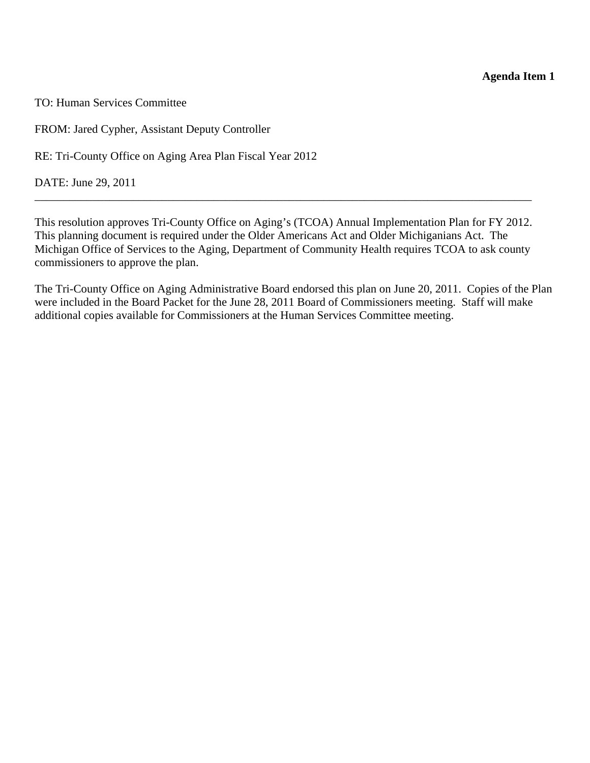**Agenda Item 1** 

<span id="page-8-0"></span>TO: Human Services Committee

FROM: Jared Cypher, Assistant Deputy Controller

RE: Tri-County Office on Aging Area Plan Fiscal Year 2012

DATE: June 29, 2011

This resolution approves Tri-County Office on Aging's (TCOA) Annual Implementation Plan for FY 2012. This planning document is required under the Older Americans Act and Older Michiganians Act. The Michigan Office of Services to the Aging, Department of Community Health requires TCOA to ask county commissioners to approve the plan.

\_\_\_\_\_\_\_\_\_\_\_\_\_\_\_\_\_\_\_\_\_\_\_\_\_\_\_\_\_\_\_\_\_\_\_\_\_\_\_\_\_\_\_\_\_\_\_\_\_\_\_\_\_\_\_\_\_\_\_\_\_\_\_\_\_\_\_\_\_\_\_\_\_\_\_\_\_\_\_\_\_\_\_\_\_\_

The Tri-County Office on Aging Administrative Board endorsed this plan on June 20, 2011. Copies of the Plan were included in the Board Packet for the June 28, 2011 Board of Commissioners meeting. Staff will make additional copies available for Commissioners at the Human Services Committee meeting.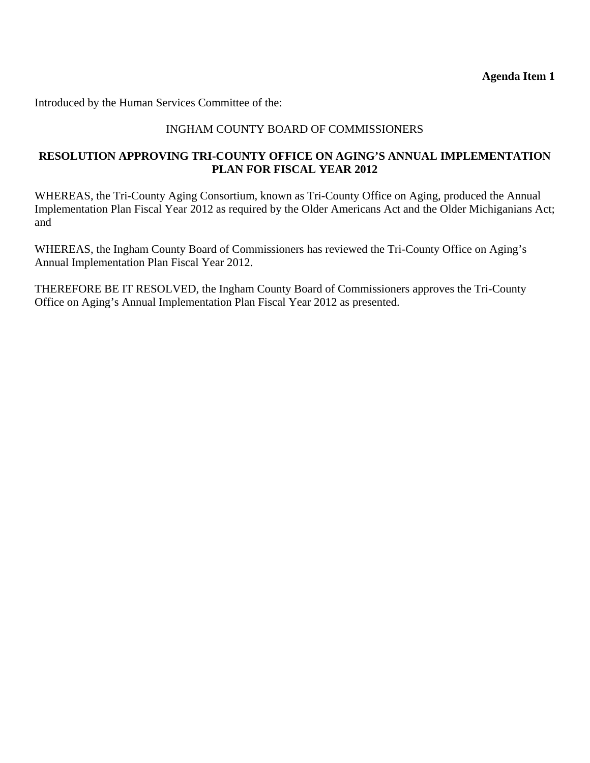**Agenda Item 1** 

Introduced by the Human Services Committee of the:

# INGHAM COUNTY BOARD OF COMMISSIONERS

# **RESOLUTION APPROVING TRI-COUNTY OFFICE ON AGING'S ANNUAL IMPLEMENTATION PLAN FOR FISCAL YEAR 2012**

WHEREAS, the Tri-County Aging Consortium, known as Tri-County Office on Aging, produced the Annual Implementation Plan Fiscal Year 2012 as required by the Older Americans Act and the Older Michiganians Act; and

WHEREAS, the Ingham County Board of Commissioners has reviewed the Tri-County Office on Aging's Annual Implementation Plan Fiscal Year 2012.

THEREFORE BE IT RESOLVED, the Ingham County Board of Commissioners approves the Tri-County Office on Aging's Annual Implementation Plan Fiscal Year 2012 as presented.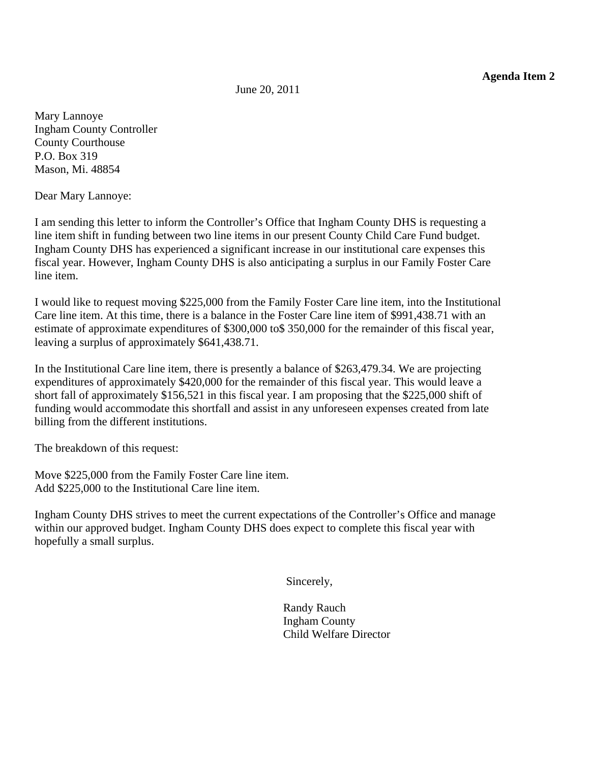June 20, 2011

<span id="page-10-0"></span>Mary Lannoye Ingham County Controller County Courthouse P.O. Box 319 Mason, Mi. 48854

Dear Mary Lannoye:

I am sending this letter to inform the Controller's Office that Ingham County DHS is requesting a line item shift in funding between two line items in our present County Child Care Fund budget. Ingham County DHS has experienced a significant increase in our institutional care expenses this fiscal year. However, Ingham County DHS is also anticipating a surplus in our Family Foster Care line item.

I would like to request moving \$225,000 from the Family Foster Care line item, into the Institutional Care line item. At this time, there is a balance in the Foster Care line item of \$991,438.71 with an estimate of approximate expenditures of \$300,000 to\$ 350,000 for the remainder of this fiscal year, leaving a surplus of approximately \$641,438.71.

In the Institutional Care line item, there is presently a balance of \$263,479.34. We are projecting expenditures of approximately \$420,000 for the remainder of this fiscal year. This would leave a short fall of approximately \$156,521 in this fiscal year. I am proposing that the \$225,000 shift of funding would accommodate this shortfall and assist in any unforeseen expenses created from late billing from the different institutions.

The breakdown of this request:

Move \$225,000 from the Family Foster Care line item. Add \$225,000 to the Institutional Care line item.

Ingham County DHS strives to meet the current expectations of the Controller's Office and manage within our approved budget. Ingham County DHS does expect to complete this fiscal year with hopefully a small surplus.

Sincerely,

 Randy Rauch Ingham County Child Welfare Director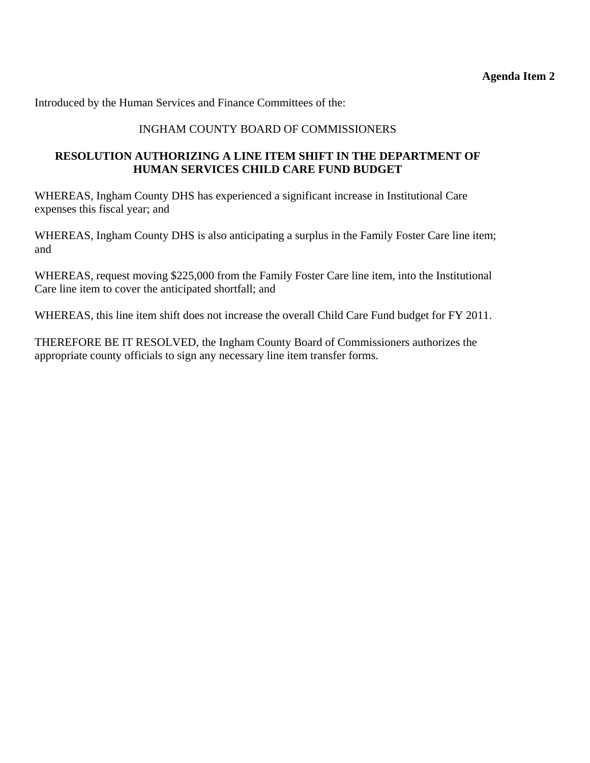Introduced by the Human Services and Finance Committees of the:

# INGHAM COUNTY BOARD OF COMMISSIONERS

# **RESOLUTION AUTHORIZING A LINE ITEM SHIFT IN THE DEPARTMENT OF HUMAN SERVICES CHILD CARE FUND BUDGET**

WHEREAS, Ingham County DHS has experienced a significant increase in Institutional Care expenses this fiscal year; and

WHEREAS, Ingham County DHS is also anticipating a surplus in the Family Foster Care line item; and

WHEREAS, request moving \$225,000 from the Family Foster Care line item, into the Institutional Care line item to cover the anticipated shortfall; and

WHEREAS, this line item shift does not increase the overall Child Care Fund budget for FY 2011.

THEREFORE BE IT RESOLVED, the Ingham County Board of Commissioners authorizes the appropriate county officials to sign any necessary line item transfer forms.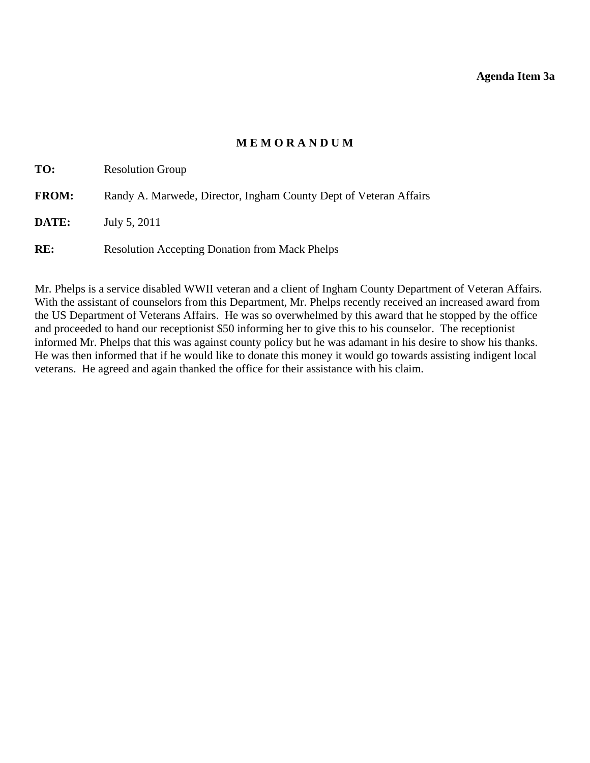# **M E M O R A N D U M**

<span id="page-12-0"></span>

| TO:          | <b>Resolution Group</b>                                           |
|--------------|-------------------------------------------------------------------|
| <b>FROM:</b> | Randy A. Marwede, Director, Ingham County Dept of Veteran Affairs |
| DATE:        | July 5, 2011                                                      |
| RE:          | <b>Resolution Accepting Donation from Mack Phelps</b>             |

Mr. Phelps is a service disabled WWII veteran and a client of Ingham County Department of Veteran Affairs. With the assistant of counselors from this Department, Mr. Phelps recently received an increased award from the US Department of Veterans Affairs. He was so overwhelmed by this award that he stopped by the office and proceeded to hand our receptionist \$50 informing her to give this to his counselor. The receptionist informed Mr. Phelps that this was against county policy but he was adamant in his desire to show his thanks. He was then informed that if he would like to donate this money it would go towards assisting indigent local veterans. He agreed and again thanked the office for their assistance with his claim.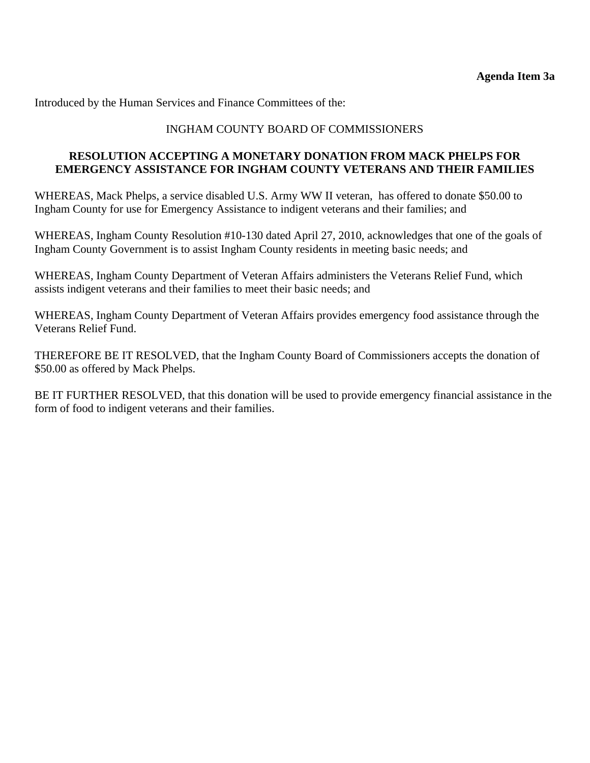Introduced by the Human Services and Finance Committees of the:

### INGHAM COUNTY BOARD OF COMMISSIONERS

#### **RESOLUTION ACCEPTING A MONETARY DONATION FROM MACK PHELPS FOR EMERGENCY ASSISTANCE FOR INGHAM COUNTY VETERANS AND THEIR FAMILIES**

WHEREAS, Mack Phelps, a service disabled U.S. Army WW II veteran, has offered to donate \$50.00 to Ingham County for use for Emergency Assistance to indigent veterans and their families; and

WHEREAS, Ingham County Resolution #10-130 dated April 27, 2010, acknowledges that one of the goals of Ingham County Government is to assist Ingham County residents in meeting basic needs; and

WHEREAS, Ingham County Department of Veteran Affairs administers the Veterans Relief Fund, which assists indigent veterans and their families to meet their basic needs; and

WHEREAS, Ingham County Department of Veteran Affairs provides emergency food assistance through the Veterans Relief Fund.

THEREFORE BE IT RESOLVED, that the Ingham County Board of Commissioners accepts the donation of \$50.00 as offered by Mack Phelps.

BE IT FURTHER RESOLVED, that this donation will be used to provide emergency financial assistance in the form of food to indigent veterans and their families.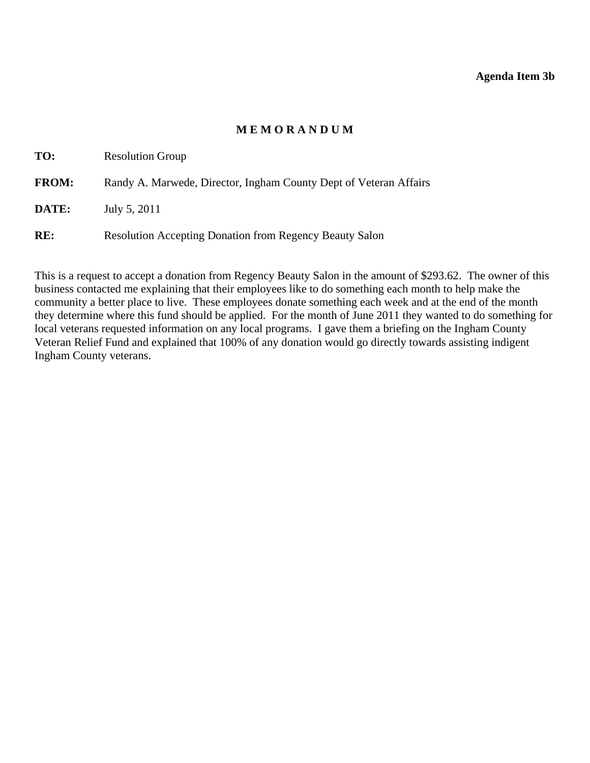#### **Agenda Item 3b**

# **M E M O R A N D U M**

<span id="page-14-0"></span>

| TO:          | <b>Resolution Group</b>                                           |
|--------------|-------------------------------------------------------------------|
| <b>FROM:</b> | Randy A. Marwede, Director, Ingham County Dept of Veteran Affairs |
| DATE:        | July 5, 2011                                                      |
| RE:          | <b>Resolution Accepting Donation from Regency Beauty Salon</b>    |

This is a request to accept a donation from Regency Beauty Salon in the amount of \$293.62. The owner of this business contacted me explaining that their employees like to do something each month to help make the community a better place to live. These employees donate something each week and at the end of the month they determine where this fund should be applied. For the month of June 2011 they wanted to do something for local veterans requested information on any local programs. I gave them a briefing on the Ingham County Veteran Relief Fund and explained that 100% of any donation would go directly towards assisting indigent Ingham County veterans.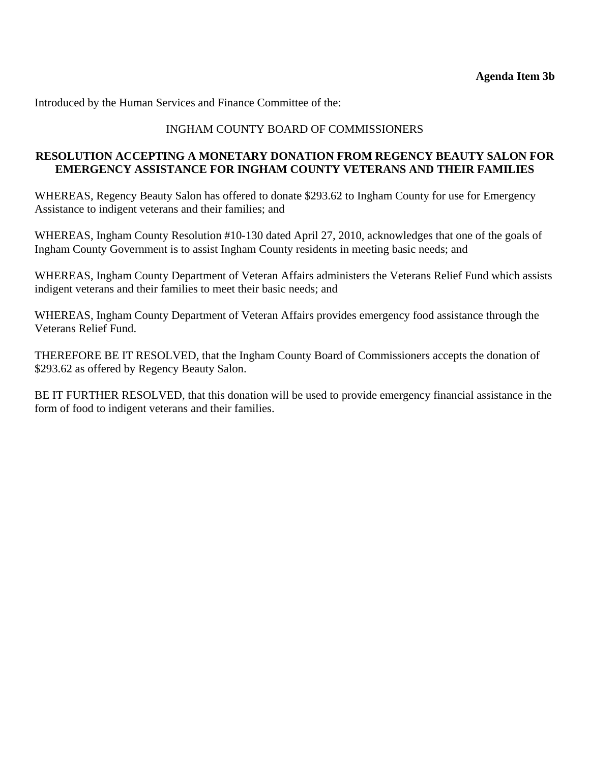Introduced by the Human Services and Finance Committee of the:

### INGHAM COUNTY BOARD OF COMMISSIONERS

# **RESOLUTION ACCEPTING A MONETARY DONATION FROM REGENCY BEAUTY SALON FOR EMERGENCY ASSISTANCE FOR INGHAM COUNTY VETERANS AND THEIR FAMILIES**

WHEREAS, Regency Beauty Salon has offered to donate \$293.62 to Ingham County for use for Emergency Assistance to indigent veterans and their families; and

WHEREAS, Ingham County Resolution #10-130 dated April 27, 2010, acknowledges that one of the goals of Ingham County Government is to assist Ingham County residents in meeting basic needs; and

WHEREAS, Ingham County Department of Veteran Affairs administers the Veterans Relief Fund which assists indigent veterans and their families to meet their basic needs; and

WHEREAS, Ingham County Department of Veteran Affairs provides emergency food assistance through the Veterans Relief Fund.

THEREFORE BE IT RESOLVED, that the Ingham County Board of Commissioners accepts the donation of \$293.62 as offered by Regency Beauty Salon.

BE IT FURTHER RESOLVED, that this donation will be used to provide emergency financial assistance in the form of food to indigent veterans and their families.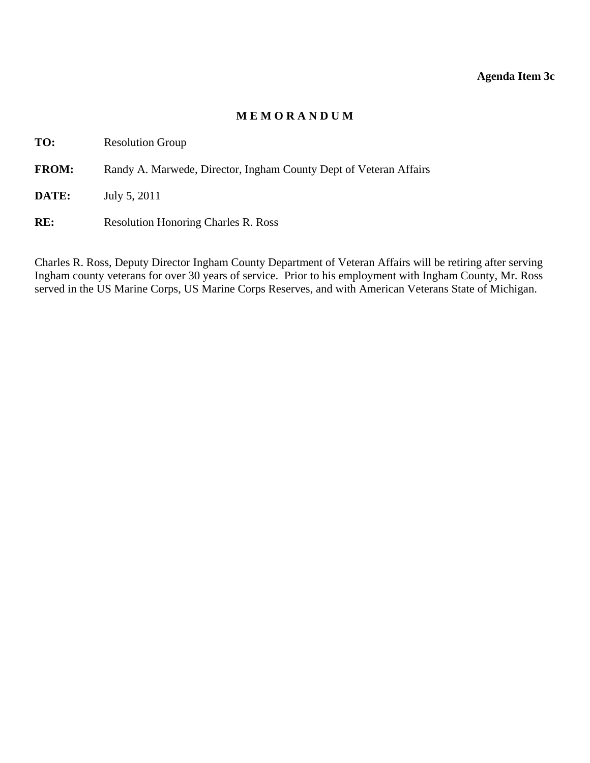#### **Agenda Item 3c**

#### **M E M O R A N D U M**

<span id="page-16-0"></span>**TO:** Resolution Group

FROM: Randy A. Marwede, Director, Ingham County Dept of Veteran Affairs

**DATE:** July 5, 2011

RE: Resolution Honoring Charles R. Ross

Charles R. Ross, Deputy Director Ingham County Department of Veteran Affairs will be retiring after serving Ingham county veterans for over 30 years of service. Prior to his employment with Ingham County, Mr. Ross served in the US Marine Corps, US Marine Corps Reserves, and with American Veterans State of Michigan.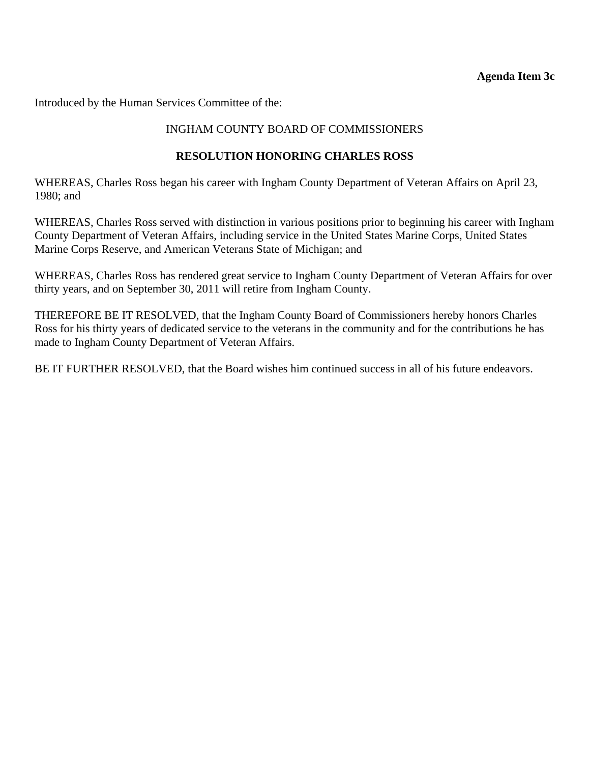#### **Agenda Item 3c**

Introduced by the Human Services Committee of the:

# INGHAM COUNTY BOARD OF COMMISSIONERS

# **RESOLUTION HONORING CHARLES ROSS**

WHEREAS, Charles Ross began his career with Ingham County Department of Veteran Affairs on April 23, 1980; and

WHEREAS, Charles Ross served with distinction in various positions prior to beginning his career with Ingham County Department of Veteran Affairs, including service in the United States Marine Corps, United States Marine Corps Reserve, and American Veterans State of Michigan; and

WHEREAS, Charles Ross has rendered great service to Ingham County Department of Veteran Affairs for over thirty years, and on September 30, 2011 will retire from Ingham County.

THEREFORE BE IT RESOLVED, that the Ingham County Board of Commissioners hereby honors Charles Ross for his thirty years of dedicated service to the veterans in the community and for the contributions he has made to Ingham County Department of Veteran Affairs.

BE IT FURTHER RESOLVED, that the Board wishes him continued success in all of his future endeavors.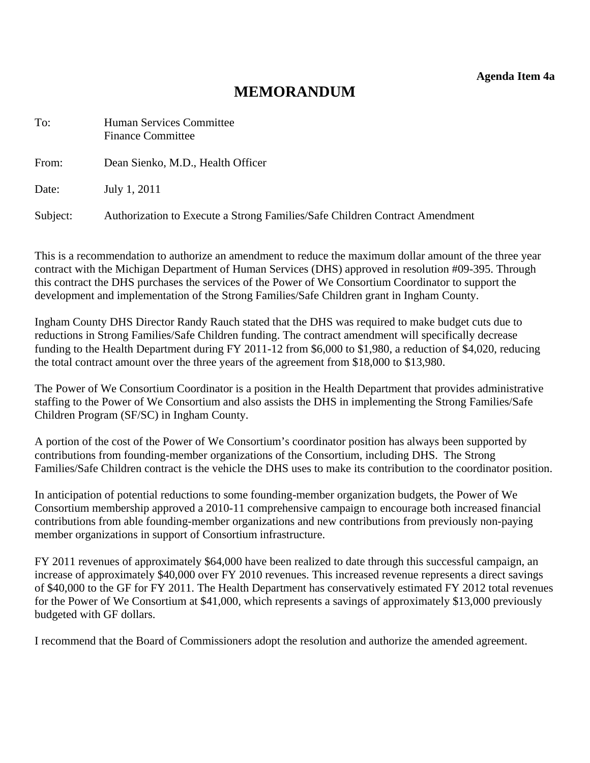**Agenda Item 4a** 

# **MEMORANDUM**

<span id="page-18-0"></span>

| To:      | <b>Human Services Committee</b><br><b>Finance Committee</b>                 |
|----------|-----------------------------------------------------------------------------|
| From:    | Dean Sienko, M.D., Health Officer                                           |
| Date:    | July 1, 2011                                                                |
| Subject: | Authorization to Execute a Strong Families/Safe Children Contract Amendment |

This is a recommendation to authorize an amendment to reduce the maximum dollar amount of the three year contract with the Michigan Department of Human Services (DHS) approved in resolution #09-395. Through this contract the DHS purchases the services of the Power of We Consortium Coordinator to support the development and implementation of the Strong Families/Safe Children grant in Ingham County.

Ingham County DHS Director Randy Rauch stated that the DHS was required to make budget cuts due to reductions in Strong Families/Safe Children funding. The contract amendment will specifically decrease funding to the Health Department during FY 2011-12 from \$6,000 to \$1,980, a reduction of \$4,020, reducing the total contract amount over the three years of the agreement from \$18,000 to \$13,980.

The Power of We Consortium Coordinator is a position in the Health Department that provides administrative staffing to the Power of We Consortium and also assists the DHS in implementing the Strong Families/Safe Children Program (SF/SC) in Ingham County.

A portion of the cost of the Power of We Consortium's coordinator position has always been supported by contributions from founding-member organizations of the Consortium, including DHS. The Strong Families/Safe Children contract is the vehicle the DHS uses to make its contribution to the coordinator position.

In anticipation of potential reductions to some founding-member organization budgets, the Power of We Consortium membership approved a 2010-11 comprehensive campaign to encourage both increased financial contributions from able founding-member organizations and new contributions from previously non-paying member organizations in support of Consortium infrastructure.

FY 2011 revenues of approximately \$64,000 have been realized to date through this successful campaign, an increase of approximately \$40,000 over FY 2010 revenues. This increased revenue represents a direct savings of \$40,000 to the GF for FY 2011. The Health Department has conservatively estimated FY 2012 total revenues for the Power of We Consortium at \$41,000, which represents a savings of approximately \$13,000 previously budgeted with GF dollars.

I recommend that the Board of Commissioners adopt the resolution and authorize the amended agreement.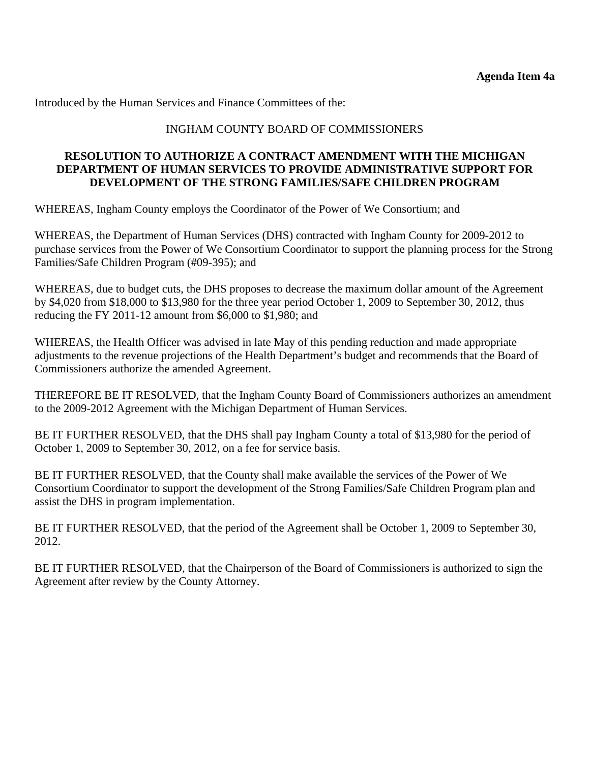Introduced by the Human Services and Finance Committees of the:

# INGHAM COUNTY BOARD OF COMMISSIONERS

#### **RESOLUTION TO AUTHORIZE A CONTRACT AMENDMENT WITH THE MICHIGAN DEPARTMENT OF HUMAN SERVICES TO PROVIDE ADMINISTRATIVE SUPPORT FOR DEVELOPMENT OF THE STRONG FAMILIES/SAFE CHILDREN PROGRAM**

WHEREAS, Ingham County employs the Coordinator of the Power of We Consortium; and

WHEREAS, the Department of Human Services (DHS) contracted with Ingham County for 2009-2012 to purchase services from the Power of We Consortium Coordinator to support the planning process for the Strong Families/Safe Children Program (#09-395); and

WHEREAS, due to budget cuts, the DHS proposes to decrease the maximum dollar amount of the Agreement by \$4,020 from \$18,000 to \$13,980 for the three year period October 1, 2009 to September 30, 2012, thus reducing the FY 2011-12 amount from \$6,000 to \$1,980; and

WHEREAS, the Health Officer was advised in late May of this pending reduction and made appropriate adjustments to the revenue projections of the Health Department's budget and recommends that the Board of Commissioners authorize the amended Agreement.

THEREFORE BE IT RESOLVED, that the Ingham County Board of Commissioners authorizes an amendment to the 2009-2012 Agreement with the Michigan Department of Human Services.

BE IT FURTHER RESOLVED, that the DHS shall pay Ingham County a total of \$13,980 for the period of October 1, 2009 to September 30, 2012, on a fee for service basis.

BE IT FURTHER RESOLVED, that the County shall make available the services of the Power of We Consortium Coordinator to support the development of the Strong Families/Safe Children Program plan and assist the DHS in program implementation.

BE IT FURTHER RESOLVED, that the period of the Agreement shall be October 1, 2009 to September 30, 2012.

BE IT FURTHER RESOLVED, that the Chairperson of the Board of Commissioners is authorized to sign the Agreement after review by the County Attorney.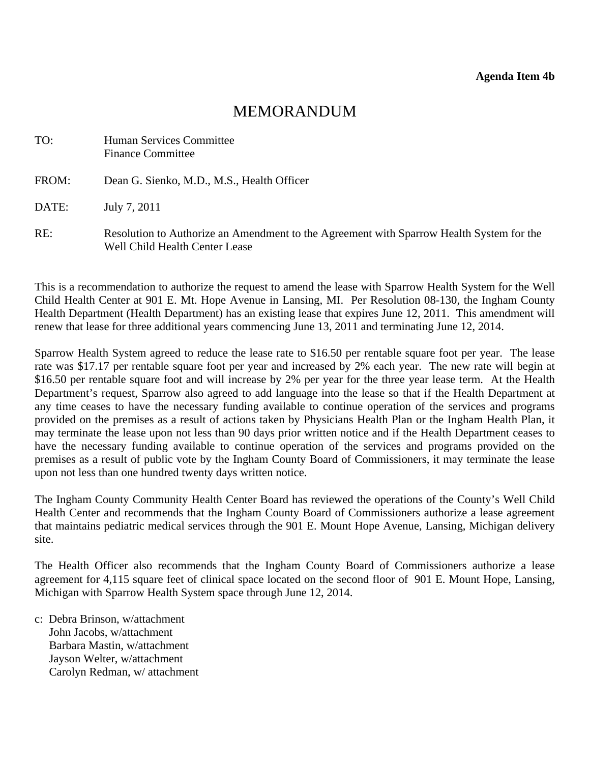# MEMORANDUM

<span id="page-20-0"></span>

| TO:   | Human Services Committee<br><b>Finance Committee</b>                                                                       |
|-------|----------------------------------------------------------------------------------------------------------------------------|
| FROM: | Dean G. Sienko, M.D., M.S., Health Officer                                                                                 |
| DATE: | July 7, 2011                                                                                                               |
| RE:   | Resolution to Authorize an Amendment to the Agreement with Sparrow Health System for the<br>Well Child Health Center Lease |

This is a recommendation to authorize the request to amend the lease with Sparrow Health System for the Well Child Health Center at 901 E. Mt. Hope Avenue in Lansing, MI. Per Resolution 08-130, the Ingham County Health Department (Health Department) has an existing lease that expires June 12, 2011. This amendment will renew that lease for three additional years commencing June 13, 2011 and terminating June 12, 2014.

Sparrow Health System agreed to reduce the lease rate to \$16.50 per rentable square foot per year. The lease rate was \$17.17 per rentable square foot per year and increased by 2% each year. The new rate will begin at \$16.50 per rentable square foot and will increase by 2% per year for the three year lease term. At the Health Department's request, Sparrow also agreed to add language into the lease so that if the Health Department at any time ceases to have the necessary funding available to continue operation of the services and programs provided on the premises as a result of actions taken by Physicians Health Plan or the Ingham Health Plan, it may terminate the lease upon not less than 90 days prior written notice and if the Health Department ceases to have the necessary funding available to continue operation of the services and programs provided on the premises as a result of public vote by the Ingham County Board of Commissioners, it may terminate the lease upon not less than one hundred twenty days written notice.

The Ingham County Community Health Center Board has reviewed the operations of the County's Well Child Health Center and recommends that the Ingham County Board of Commissioners authorize a lease agreement that maintains pediatric medical services through the 901 E. Mount Hope Avenue, Lansing, Michigan delivery site.

The Health Officer also recommends that the Ingham County Board of Commissioners authorize a lease agreement for 4,115 square feet of clinical space located on the second floor of 901 E. Mount Hope, Lansing, Michigan with Sparrow Health System space through June 12, 2014.

c: Debra Brinson, w/attachment John Jacobs, w/attachment Barbara Mastin, w/attachment Jayson Welter, w/attachment Carolyn Redman, w/ attachment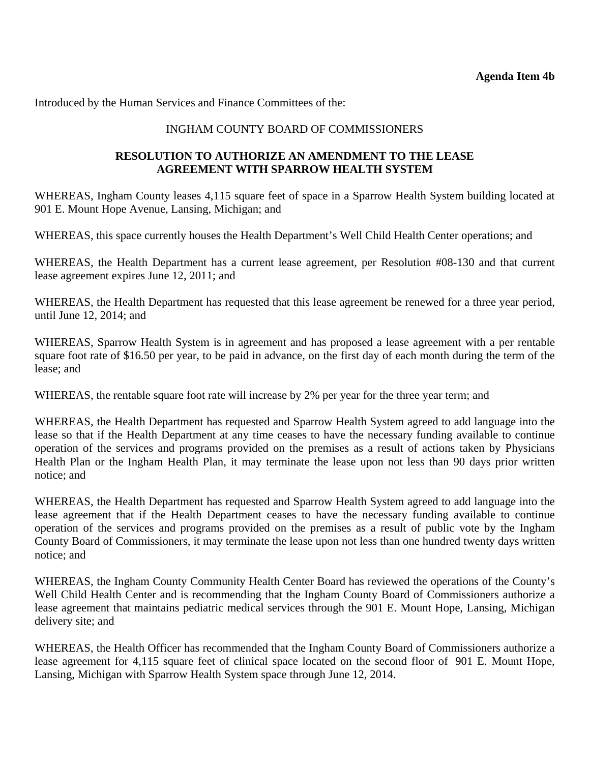Introduced by the Human Services and Finance Committees of the:

### INGHAM COUNTY BOARD OF COMMISSIONERS

#### **RESOLUTION TO AUTHORIZE AN AMENDMENT TO THE LEASE AGREEMENT WITH SPARROW HEALTH SYSTEM**

WHEREAS, Ingham County leases 4,115 square feet of space in a Sparrow Health System building located at 901 E. Mount Hope Avenue, Lansing, Michigan; and

WHEREAS, this space currently houses the Health Department's Well Child Health Center operations; and

WHEREAS, the Health Department has a current lease agreement, per Resolution #08-130 and that current lease agreement expires June 12, 2011; and

WHEREAS, the Health Department has requested that this lease agreement be renewed for a three year period, until June 12, 2014; and

WHEREAS, Sparrow Health System is in agreement and has proposed a lease agreement with a per rentable square foot rate of \$16.50 per year, to be paid in advance, on the first day of each month during the term of the lease; and

WHEREAS, the rentable square foot rate will increase by 2% per year for the three year term; and

WHEREAS, the Health Department has requested and Sparrow Health System agreed to add language into the lease so that if the Health Department at any time ceases to have the necessary funding available to continue operation of the services and programs provided on the premises as a result of actions taken by Physicians Health Plan or the Ingham Health Plan, it may terminate the lease upon not less than 90 days prior written notice; and

WHEREAS, the Health Department has requested and Sparrow Health System agreed to add language into the lease agreement that if the Health Department ceases to have the necessary funding available to continue operation of the services and programs provided on the premises as a result of public vote by the Ingham County Board of Commissioners, it may terminate the lease upon not less than one hundred twenty days written notice; and

WHEREAS, the Ingham County Community Health Center Board has reviewed the operations of the County's Well Child Health Center and is recommending that the Ingham County Board of Commissioners authorize a lease agreement that maintains pediatric medical services through the 901 E. Mount Hope, Lansing, Michigan delivery site; and

WHEREAS, the Health Officer has recommended that the Ingham County Board of Commissioners authorize a lease agreement for 4,115 square feet of clinical space located on the second floor of 901 E. Mount Hope, Lansing, Michigan with Sparrow Health System space through June 12, 2014.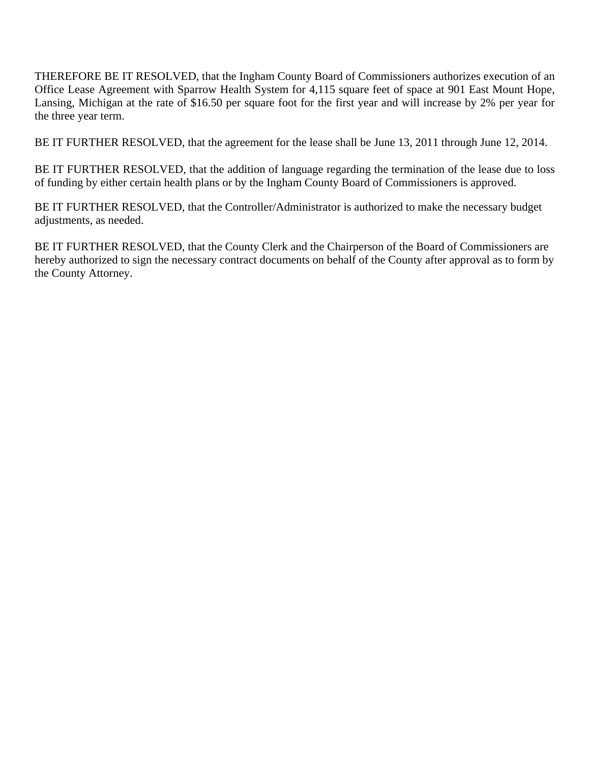THEREFORE BE IT RESOLVED, that the Ingham County Board of Commissioners authorizes execution of an Office Lease Agreement with Sparrow Health System for 4,115 square feet of space at 901 East Mount Hope, Lansing, Michigan at the rate of \$16.50 per square foot for the first year and will increase by 2% per year for the three year term.

BE IT FURTHER RESOLVED, that the agreement for the lease shall be June 13, 2011 through June 12, 2014.

BE IT FURTHER RESOLVED, that the addition of language regarding the termination of the lease due to loss of funding by either certain health plans or by the Ingham County Board of Commissioners is approved.

BE IT FURTHER RESOLVED, that the Controller/Administrator is authorized to make the necessary budget adjustments, as needed.

BE IT FURTHER RESOLVED, that the County Clerk and the Chairperson of the Board of Commissioners are hereby authorized to sign the necessary contract documents on behalf of the County after approval as to form by the County Attorney.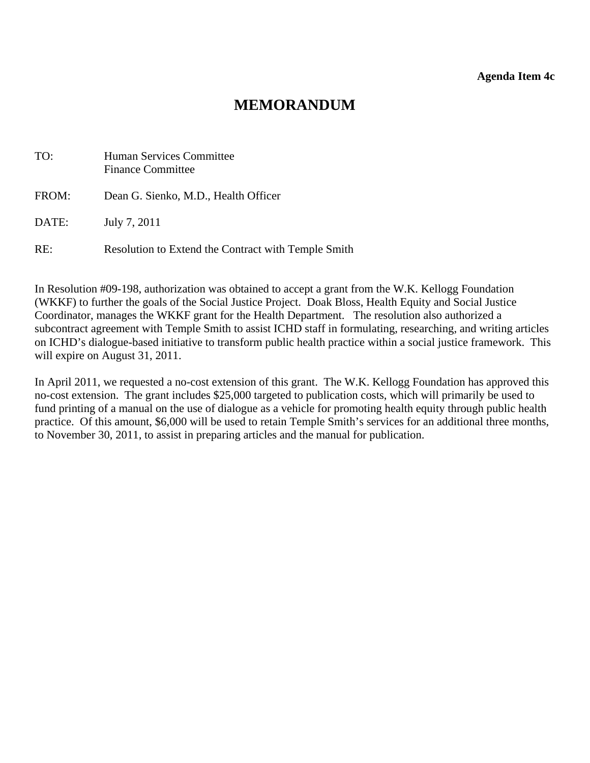# **MEMORANDUM**

<span id="page-23-0"></span>

| TO:   | <b>Human Services Committee</b><br><b>Finance Committee</b> |
|-------|-------------------------------------------------------------|
| FROM: | Dean G. Sienko, M.D., Health Officer                        |
| DATE: | July 7, 2011                                                |
| RE:   | Resolution to Extend the Contract with Temple Smith         |

In Resolution #09-198, authorization was obtained to accept a grant from the W.K. Kellogg Foundation (WKKF) to further the goals of the Social Justice Project. Doak Bloss, Health Equity and Social Justice Coordinator, manages the WKKF grant for the Health Department. The resolution also authorized a subcontract agreement with Temple Smith to assist ICHD staff in formulating, researching, and writing articles on ICHD's dialogue-based initiative to transform public health practice within a social justice framework. This will expire on August 31, 2011.

In April 2011, we requested a no-cost extension of this grant. The W.K. Kellogg Foundation has approved this no-cost extension. The grant includes \$25,000 targeted to publication costs, which will primarily be used to fund printing of a manual on the use of dialogue as a vehicle for promoting health equity through public health practice. Of this amount, \$6,000 will be used to retain Temple Smith's services for an additional three months, to November 30, 2011, to assist in preparing articles and the manual for publication.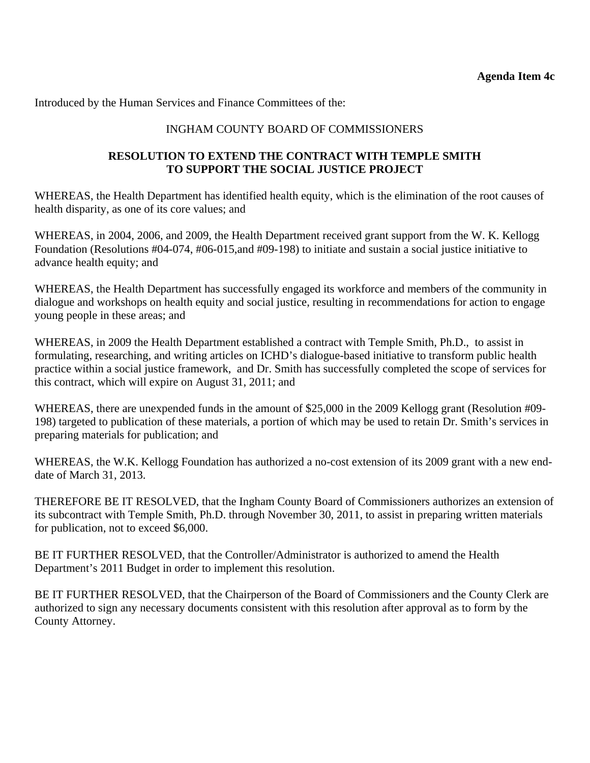Introduced by the Human Services and Finance Committees of the:

# INGHAM COUNTY BOARD OF COMMISSIONERS

### **RESOLUTION TO EXTEND THE CONTRACT WITH TEMPLE SMITH TO SUPPORT THE SOCIAL JUSTICE PROJECT**

WHEREAS, the Health Department has identified health equity, which is the elimination of the root causes of health disparity, as one of its core values; and

WHEREAS, in 2004, 2006, and 2009, the Health Department received grant support from the W. K. Kellogg Foundation (Resolutions #04-074, #06-015,and #09-198) to initiate and sustain a social justice initiative to advance health equity; and

WHEREAS, the Health Department has successfully engaged its workforce and members of the community in dialogue and workshops on health equity and social justice, resulting in recommendations for action to engage young people in these areas; and

WHEREAS, in 2009 the Health Department established a contract with Temple Smith, Ph.D., to assist in formulating, researching, and writing articles on ICHD's dialogue-based initiative to transform public health practice within a social justice framework, and Dr. Smith has successfully completed the scope of services for this contract, which will expire on August 31, 2011; and

WHEREAS, there are unexpended funds in the amount of \$25,000 in the 2009 Kellogg grant (Resolution #09- 198) targeted to publication of these materials, a portion of which may be used to retain Dr. Smith's services in preparing materials for publication; and

WHEREAS, the W.K. Kellogg Foundation has authorized a no-cost extension of its 2009 grant with a new enddate of March 31, 2013.

THEREFORE BE IT RESOLVED, that the Ingham County Board of Commissioners authorizes an extension of its subcontract with Temple Smith, Ph.D. through November 30, 2011, to assist in preparing written materials for publication, not to exceed \$6,000.

BE IT FURTHER RESOLVED, that the Controller/Administrator is authorized to amend the Health Department's 2011 Budget in order to implement this resolution.

BE IT FURTHER RESOLVED, that the Chairperson of the Board of Commissioners and the County Clerk are authorized to sign any necessary documents consistent with this resolution after approval as to form by the County Attorney.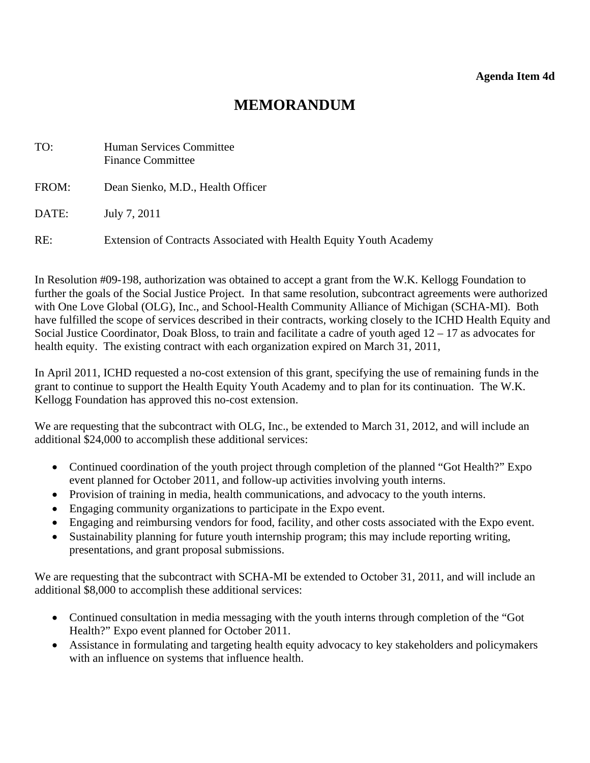# **MEMORANDUM**

<span id="page-25-0"></span>

| TO:   | Human Services Committee<br><b>Finance Committee</b>               |
|-------|--------------------------------------------------------------------|
| FROM: | Dean Sienko, M.D., Health Officer                                  |
| DATE: | July 7, 2011                                                       |
| RE:   | Extension of Contracts Associated with Health Equity Youth Academy |

In Resolution #09-198, authorization was obtained to accept a grant from the W.K. Kellogg Foundation to further the goals of the Social Justice Project. In that same resolution, subcontract agreements were authorized with One Love Global (OLG), Inc., and School-Health Community Alliance of Michigan (SCHA-MI). Both have fulfilled the scope of services described in their contracts, working closely to the ICHD Health Equity and Social Justice Coordinator, Doak Bloss, to train and facilitate a cadre of youth aged 12 – 17 as advocates for health equity. The existing contract with each organization expired on March 31, 2011,

In April 2011, ICHD requested a no-cost extension of this grant, specifying the use of remaining funds in the grant to continue to support the Health Equity Youth Academy and to plan for its continuation. The W.K. Kellogg Foundation has approved this no-cost extension.

We are requesting that the subcontract with OLG, Inc., be extended to March 31, 2012, and will include an additional \$24,000 to accomplish these additional services:

- Continued coordination of the youth project through completion of the planned "Got Health?" Expo event planned for October 2011, and follow-up activities involving youth interns.
- Provision of training in media, health communications, and advocacy to the youth interns.
- Engaging community organizations to participate in the Expo event.
- Engaging and reimbursing vendors for food, facility, and other costs associated with the Expo event.
- Sustainability planning for future youth internship program; this may include reporting writing, presentations, and grant proposal submissions.

We are requesting that the subcontract with SCHA-MI be extended to October 31, 2011, and will include an additional \$8,000 to accomplish these additional services:

- Continued consultation in media messaging with the youth interns through completion of the "Got Health?" Expo event planned for October 2011.
- Assistance in formulating and targeting health equity advocacy to key stakeholders and policymakers with an influence on systems that influence health.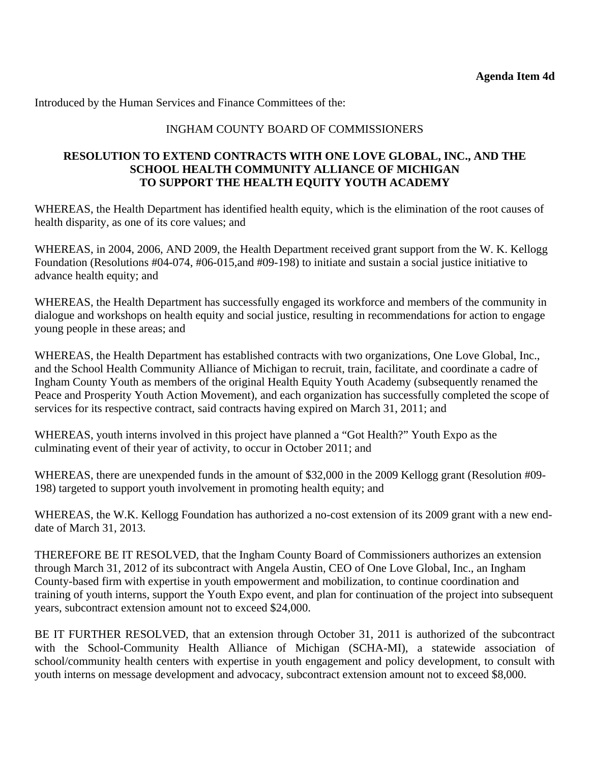Introduced by the Human Services and Finance Committees of the:

# INGHAM COUNTY BOARD OF COMMISSIONERS

#### **RESOLUTION TO EXTEND CONTRACTS WITH ONE LOVE GLOBAL, INC., AND THE SCHOOL HEALTH COMMUNITY ALLIANCE OF MICHIGAN TO SUPPORT THE HEALTH EQUITY YOUTH ACADEMY**

WHEREAS, the Health Department has identified health equity, which is the elimination of the root causes of health disparity, as one of its core values; and

WHEREAS, in 2004, 2006, AND 2009, the Health Department received grant support from the W. K. Kellogg Foundation (Resolutions #04-074, #06-015,and #09-198) to initiate and sustain a social justice initiative to advance health equity; and

WHEREAS, the Health Department has successfully engaged its workforce and members of the community in dialogue and workshops on health equity and social justice, resulting in recommendations for action to engage young people in these areas; and

WHEREAS, the Health Department has established contracts with two organizations, One Love Global, Inc., and the School Health Community Alliance of Michigan to recruit, train, facilitate, and coordinate a cadre of Ingham County Youth as members of the original Health Equity Youth Academy (subsequently renamed the Peace and Prosperity Youth Action Movement), and each organization has successfully completed the scope of services for its respective contract, said contracts having expired on March 31, 2011; and

WHEREAS, youth interns involved in this project have planned a "Got Health?" Youth Expo as the culminating event of their year of activity, to occur in October 2011; and

WHEREAS, there are unexpended funds in the amount of \$32,000 in the 2009 Kellogg grant (Resolution #09- 198) targeted to support youth involvement in promoting health equity; and

WHEREAS, the W.K. Kellogg Foundation has authorized a no-cost extension of its 2009 grant with a new enddate of March 31, 2013.

THEREFORE BE IT RESOLVED, that the Ingham County Board of Commissioners authorizes an extension through March 31, 2012 of its subcontract with Angela Austin, CEO of One Love Global, Inc., an Ingham County-based firm with expertise in youth empowerment and mobilization, to continue coordination and training of youth interns, support the Youth Expo event, and plan for continuation of the project into subsequent years, subcontract extension amount not to exceed \$24,000.

BE IT FURTHER RESOLVED, that an extension through October 31, 2011 is authorized of the subcontract with the School-Community Health Alliance of Michigan (SCHA-MI), a statewide association of school/community health centers with expertise in youth engagement and policy development, to consult with youth interns on message development and advocacy, subcontract extension amount not to exceed \$8,000.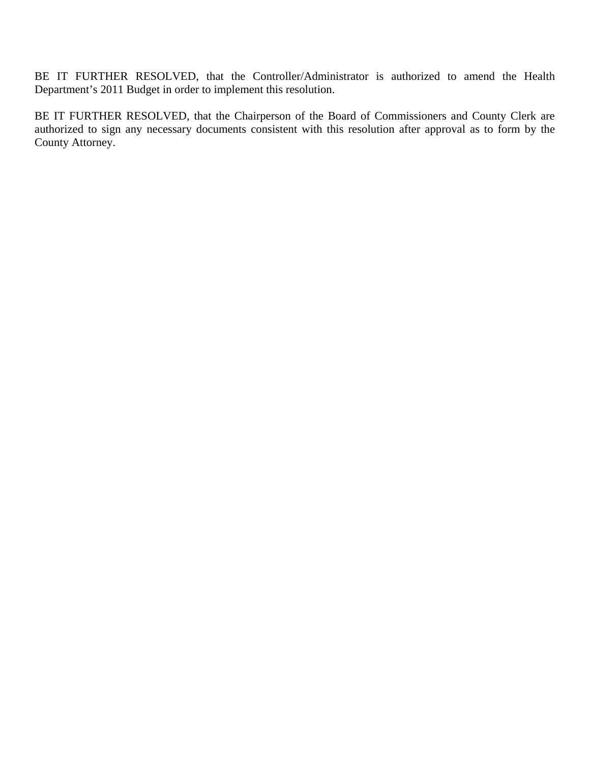BE IT FURTHER RESOLVED, that the Controller/Administrator is authorized to amend the Health Department's 2011 Budget in order to implement this resolution.

BE IT FURTHER RESOLVED, that the Chairperson of the Board of Commissioners and County Clerk are authorized to sign any necessary documents consistent with this resolution after approval as to form by the County Attorney.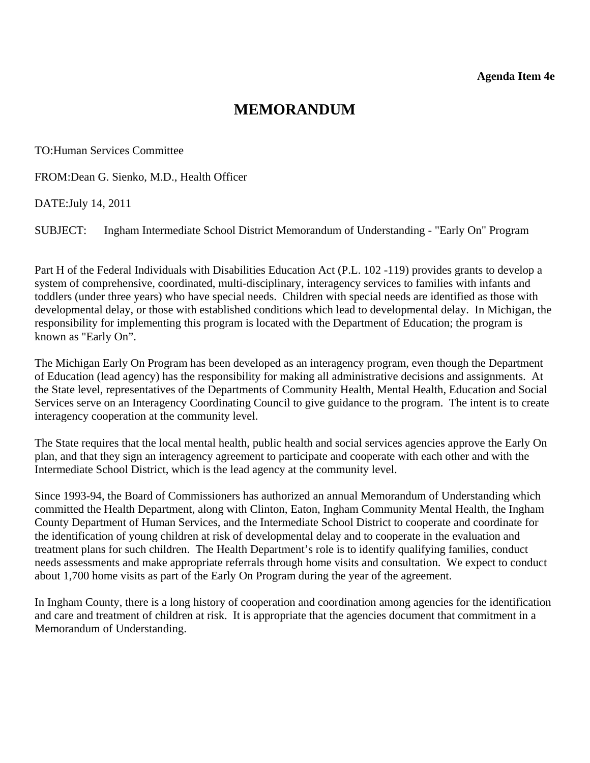# **MEMORANDUM**

<span id="page-28-0"></span>TO:Human Services Committee

FROM:Dean G. Sienko, M.D., Health Officer

DATE:July 14, 2011

SUBJECT: Ingham Intermediate School District Memorandum of Understanding - "Early On" Program

Part H of the Federal Individuals with Disabilities Education Act (P.L. 102 -119) provides grants to develop a system of comprehensive, coordinated, multi-disciplinary, interagency services to families with infants and toddlers (under three years) who have special needs. Children with special needs are identified as those with developmental delay, or those with established conditions which lead to developmental delay. In Michigan, the responsibility for implementing this program is located with the Department of Education; the program is known as "Early On".

The Michigan Early On Program has been developed as an interagency program, even though the Department of Education (lead agency) has the responsibility for making all administrative decisions and assignments. At the State level, representatives of the Departments of Community Health, Mental Health, Education and Social Services serve on an Interagency Coordinating Council to give guidance to the program. The intent is to create interagency cooperation at the community level.

The State requires that the local mental health, public health and social services agencies approve the Early On plan, and that they sign an interagency agreement to participate and cooperate with each other and with the Intermediate School District, which is the lead agency at the community level.

Since 1993-94, the Board of Commissioners has authorized an annual Memorandum of Understanding which committed the Health Department, along with Clinton, Eaton, Ingham Community Mental Health, the Ingham County Department of Human Services, and the Intermediate School District to cooperate and coordinate for the identification of young children at risk of developmental delay and to cooperate in the evaluation and treatment plans for such children. The Health Department's role is to identify qualifying families, conduct needs assessments and make appropriate referrals through home visits and consultation. We expect to conduct about 1,700 home visits as part of the Early On Program during the year of the agreement.

In Ingham County, there is a long history of cooperation and coordination among agencies for the identification and care and treatment of children at risk. It is appropriate that the agencies document that commitment in a Memorandum of Understanding.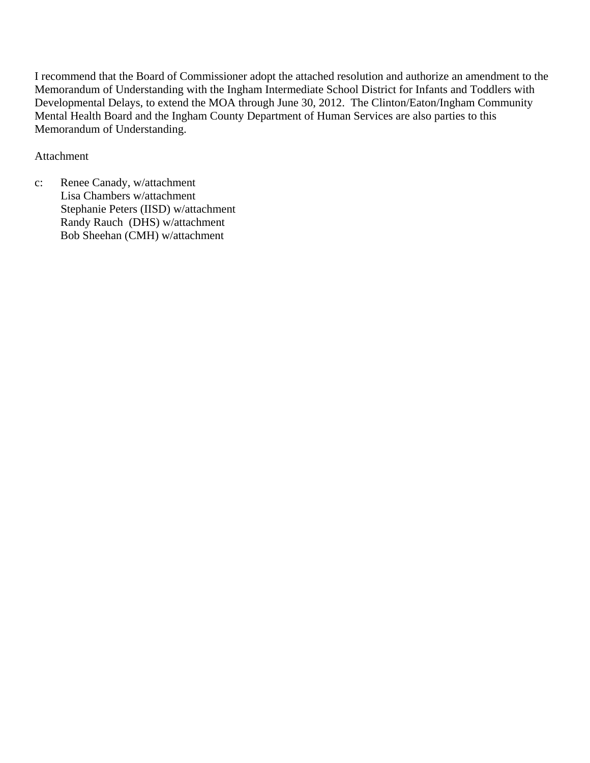I recommend that the Board of Commissioner adopt the attached resolution and authorize an amendment to the Memorandum of Understanding with the Ingham Intermediate School District for Infants and Toddlers with Developmental Delays, to extend the MOA through June 30, 2012. The Clinton/Eaton/Ingham Community Mental Health Board and the Ingham County Department of Human Services are also parties to this Memorandum of Understanding.

# Attachment

c: Renee Canady, w/attachment Lisa Chambers w/attachment Stephanie Peters (IISD) w/attachment Randy Rauch (DHS) w/attachment Bob Sheehan (CMH) w/attachment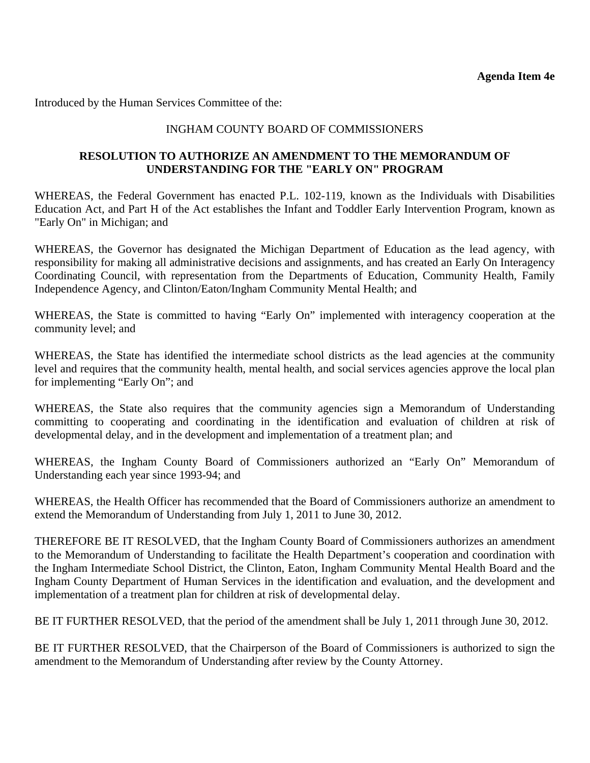Introduced by the Human Services Committee of the:

# INGHAM COUNTY BOARD OF COMMISSIONERS

# **RESOLUTION TO AUTHORIZE AN AMENDMENT TO THE MEMORANDUM OF UNDERSTANDING FOR THE "EARLY ON" PROGRAM**

WHEREAS, the Federal Government has enacted P.L. 102-119, known as the Individuals with Disabilities Education Act, and Part H of the Act establishes the Infant and Toddler Early Intervention Program, known as "Early On" in Michigan; and

WHEREAS, the Governor has designated the Michigan Department of Education as the lead agency, with responsibility for making all administrative decisions and assignments, and has created an Early On Interagency Coordinating Council, with representation from the Departments of Education, Community Health, Family Independence Agency, and Clinton/Eaton/Ingham Community Mental Health; and

WHEREAS, the State is committed to having "Early On" implemented with interagency cooperation at the community level; and

WHEREAS, the State has identified the intermediate school districts as the lead agencies at the community level and requires that the community health, mental health, and social services agencies approve the local plan for implementing "Early On"; and

WHEREAS, the State also requires that the community agencies sign a Memorandum of Understanding committing to cooperating and coordinating in the identification and evaluation of children at risk of developmental delay, and in the development and implementation of a treatment plan; and

WHEREAS, the Ingham County Board of Commissioners authorized an "Early On" Memorandum of Understanding each year since 1993-94; and

WHEREAS, the Health Officer has recommended that the Board of Commissioners authorize an amendment to extend the Memorandum of Understanding from July 1, 2011 to June 30, 2012.

THEREFORE BE IT RESOLVED, that the Ingham County Board of Commissioners authorizes an amendment to the Memorandum of Understanding to facilitate the Health Department's cooperation and coordination with the Ingham Intermediate School District, the Clinton, Eaton, Ingham Community Mental Health Board and the Ingham County Department of Human Services in the identification and evaluation, and the development and implementation of a treatment plan for children at risk of developmental delay.

BE IT FURTHER RESOLVED, that the period of the amendment shall be July 1, 2011 through June 30, 2012.

BE IT FURTHER RESOLVED, that the Chairperson of the Board of Commissioners is authorized to sign the amendment to the Memorandum of Understanding after review by the County Attorney.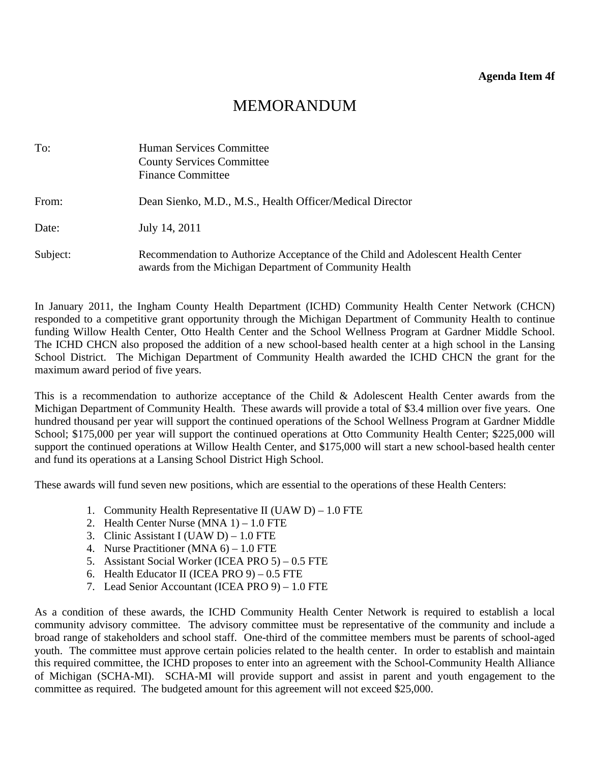# MEMORANDUM

<span id="page-31-0"></span>

| To:      | Human Services Committee<br><b>County Services Committee</b><br><b>Finance Committee</b>                                                    |
|----------|---------------------------------------------------------------------------------------------------------------------------------------------|
| From:    | Dean Sienko, M.D., M.S., Health Officer/Medical Director                                                                                    |
| Date:    | July 14, 2011                                                                                                                               |
| Subject: | Recommendation to Authorize Acceptance of the Child and Adolescent Health Center<br>awards from the Michigan Department of Community Health |

In January 2011, the Ingham County Health Department (ICHD) Community Health Center Network (CHCN) responded to a competitive grant opportunity through the Michigan Department of Community Health to continue funding Willow Health Center, Otto Health Center and the School Wellness Program at Gardner Middle School. The ICHD CHCN also proposed the addition of a new school-based health center at a high school in the Lansing School District. The Michigan Department of Community Health awarded the ICHD CHCN the grant for the maximum award period of five years.

This is a recommendation to authorize acceptance of the Child & Adolescent Health Center awards from the Michigan Department of Community Health. These awards will provide a total of \$3.4 million over five years. One hundred thousand per year will support the continued operations of the School Wellness Program at Gardner Middle School; \$175,000 per year will support the continued operations at Otto Community Health Center; \$225,000 will support the continued operations at Willow Health Center, and \$175,000 will start a new school-based health center and fund its operations at a Lansing School District High School.

These awards will fund seven new positions, which are essential to the operations of these Health Centers:

- 1. Community Health Representative II (UAW D) 1.0 FTE
- 2. Health Center Nurse (MNA 1) 1.0 FTE
- 3. Clinic Assistant I (UAW D) 1.0 FTE
- 4. Nurse Practitioner (MNA 6) 1.0 FTE
- 5. Assistant Social Worker (ICEA PRO 5) 0.5 FTE
- 6. Health Educator II (ICEA PRO 9) 0.5 FTE
- 7. Lead Senior Accountant (ICEA PRO 9) 1.0 FTE

As a condition of these awards, the ICHD Community Health Center Network is required to establish a local community advisory committee. The advisory committee must be representative of the community and include a broad range of stakeholders and school staff. One-third of the committee members must be parents of school-aged youth. The committee must approve certain policies related to the health center. In order to establish and maintain this required committee, the ICHD proposes to enter into an agreement with the School-Community Health Alliance of Michigan (SCHA-MI). SCHA-MI will provide support and assist in parent and youth engagement to the committee as required. The budgeted amount for this agreement will not exceed \$25,000.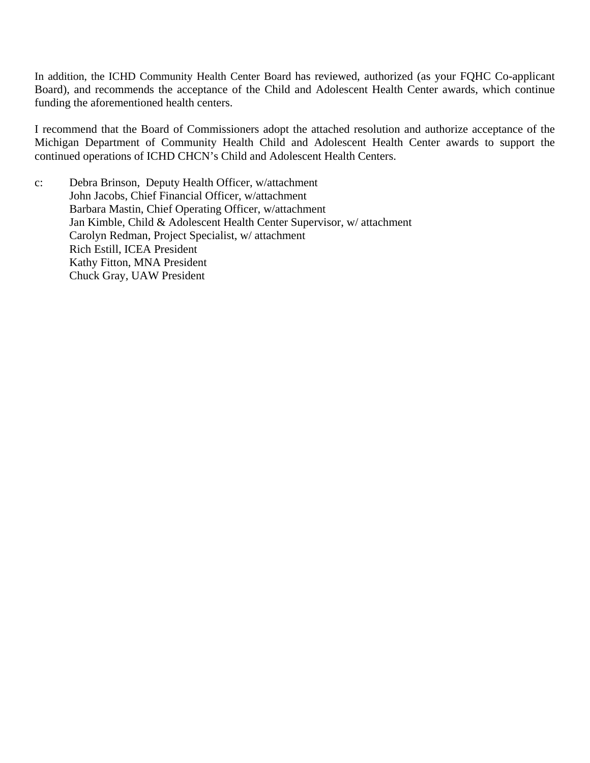In addition, the ICHD Community Health Center Board has reviewed, authorized (as your FQHC Co-applicant Board), and recommends the acceptance of the Child and Adolescent Health Center awards, which continue funding the aforementioned health centers.

I recommend that the Board of Commissioners adopt the attached resolution and authorize acceptance of the Michigan Department of Community Health Child and Adolescent Health Center awards to support the continued operations of ICHD CHCN's Child and Adolescent Health Centers.

c: Debra Brinson, Deputy Health Officer, w/attachment John Jacobs, Chief Financial Officer, w/attachment Barbara Mastin, Chief Operating Officer, w/attachment Jan Kimble, Child & Adolescent Health Center Supervisor, w/ attachment Carolyn Redman, Project Specialist, w/ attachment Rich Estill, ICEA President Kathy Fitton, MNA President Chuck Gray, UAW President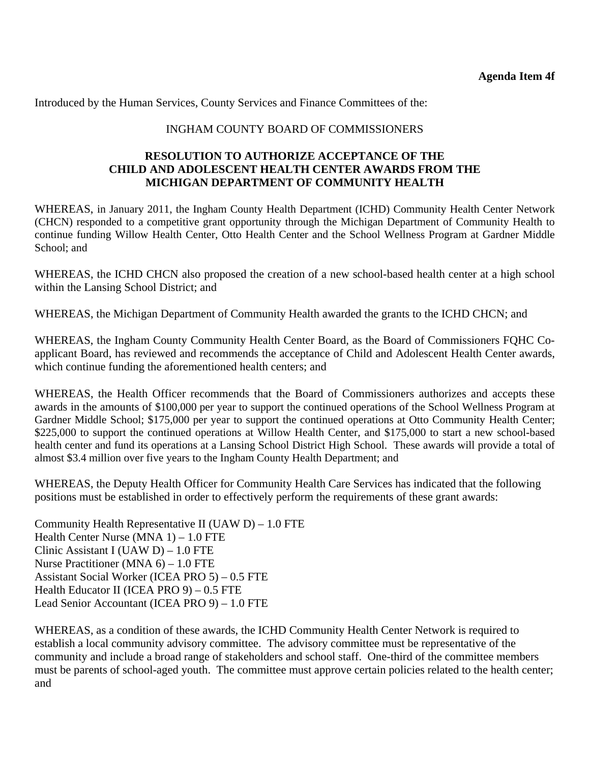Introduced by the Human Services, County Services and Finance Committees of the:

#### INGHAM COUNTY BOARD OF COMMISSIONERS

#### **RESOLUTION TO AUTHORIZE ACCEPTANCE OF THE CHILD AND ADOLESCENT HEALTH CENTER AWARDS FROM THE MICHIGAN DEPARTMENT OF COMMUNITY HEALTH**

WHEREAS, in January 2011, the Ingham County Health Department (ICHD) Community Health Center Network (CHCN) responded to a competitive grant opportunity through the Michigan Department of Community Health to continue funding Willow Health Center, Otto Health Center and the School Wellness Program at Gardner Middle School: and

WHEREAS, the ICHD CHCN also proposed the creation of a new school-based health center at a high school within the Lansing School District; and

WHEREAS, the Michigan Department of Community Health awarded the grants to the ICHD CHCN; and

WHEREAS, the Ingham County Community Health Center Board, as the Board of Commissioners FQHC Coapplicant Board, has reviewed and recommends the acceptance of Child and Adolescent Health Center awards, which continue funding the aforementioned health centers; and

WHEREAS, the Health Officer recommends that the Board of Commissioners authorizes and accepts these awards in the amounts of \$100,000 per year to support the continued operations of the School Wellness Program at Gardner Middle School; \$175,000 per year to support the continued operations at Otto Community Health Center; \$225,000 to support the continued operations at Willow Health Center, and \$175,000 to start a new school-based health center and fund its operations at a Lansing School District High School. These awards will provide a total of almost \$3.4 million over five years to the Ingham County Health Department; and

WHEREAS, the Deputy Health Officer for Community Health Care Services has indicated that the following positions must be established in order to effectively perform the requirements of these grant awards:

Community Health Representative II (UAW  $D$ ) – 1.0 FTE Health Center Nurse (MNA 1) – 1.0 FTE Clinic Assistant I (UAW D) – 1.0 FTE Nurse Practitioner (MNA 6) – 1.0 FTE Assistant Social Worker (ICEA PRO 5) – 0.5 FTE Health Educator II (ICEA PRO 9) – 0.5 FTE Lead Senior Accountant (ICEA PRO 9) – 1.0 FTE

WHEREAS, as a condition of these awards, the ICHD Community Health Center Network is required to establish a local community advisory committee. The advisory committee must be representative of the community and include a broad range of stakeholders and school staff. One-third of the committee members must be parents of school-aged youth. The committee must approve certain policies related to the health center; and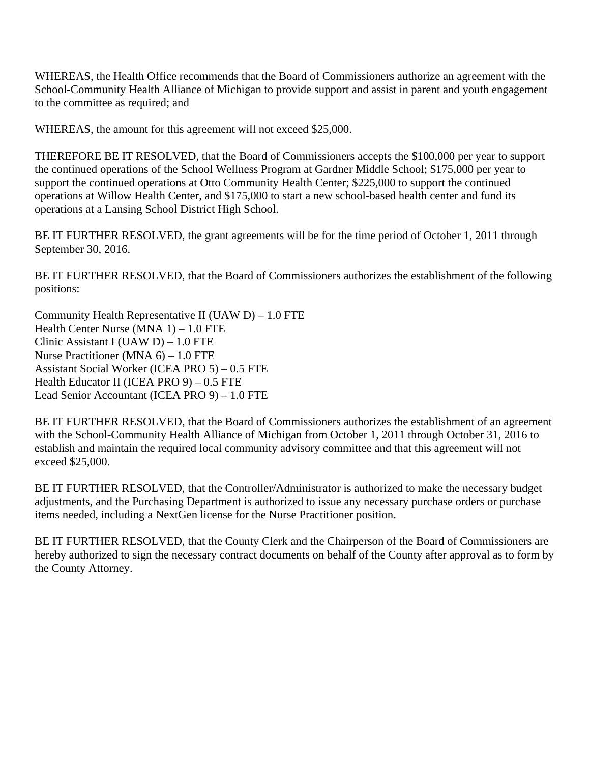WHEREAS, the Health Office recommends that the Board of Commissioners authorize an agreement with the School-Community Health Alliance of Michigan to provide support and assist in parent and youth engagement to the committee as required; and

WHEREAS, the amount for this agreement will not exceed \$25,000.

THEREFORE BE IT RESOLVED, that the Board of Commissioners accepts the \$100,000 per year to support the continued operations of the School Wellness Program at Gardner Middle School; \$175,000 per year to support the continued operations at Otto Community Health Center; \$225,000 to support the continued operations at Willow Health Center, and \$175,000 to start a new school-based health center and fund its operations at a Lansing School District High School.

BE IT FURTHER RESOLVED, the grant agreements will be for the time period of October 1, 2011 through September 30, 2016.

BE IT FURTHER RESOLVED, that the Board of Commissioners authorizes the establishment of the following positions:

Community Health Representative II (UAW D) – 1.0 FTE Health Center Nurse (MNA 1) – 1.0 FTE Clinic Assistant I (UAW D) – 1.0 FTE Nurse Practitioner (MNA 6) – 1.0 FTE Assistant Social Worker (ICEA PRO 5) – 0.5 FTE Health Educator II (ICEA PRO 9) – 0.5 FTE Lead Senior Accountant (ICEA PRO 9) – 1.0 FTE

BE IT FURTHER RESOLVED, that the Board of Commissioners authorizes the establishment of an agreement with the School-Community Health Alliance of Michigan from October 1, 2011 through October 31, 2016 to establish and maintain the required local community advisory committee and that this agreement will not exceed \$25,000.

BE IT FURTHER RESOLVED, that the Controller/Administrator is authorized to make the necessary budget adjustments, and the Purchasing Department is authorized to issue any necessary purchase orders or purchase items needed, including a NextGen license for the Nurse Practitioner position.

BE IT FURTHER RESOLVED, that the County Clerk and the Chairperson of the Board of Commissioners are hereby authorized to sign the necessary contract documents on behalf of the County after approval as to form by the County Attorney.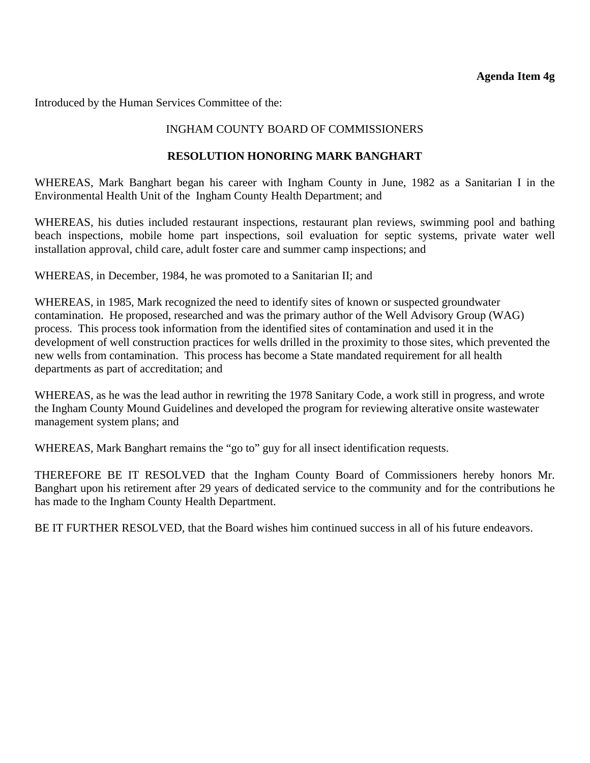<span id="page-35-0"></span>Introduced by the Human Services Committee of the:

# INGHAM COUNTY BOARD OF COMMISSIONERS

# **RESOLUTION HONORING MARK BANGHART**

WHEREAS, Mark Banghart began his career with Ingham County in June, 1982 as a Sanitarian I in the Environmental Health Unit of the Ingham County Health Department; and

WHEREAS, his duties included restaurant inspections, restaurant plan reviews, swimming pool and bathing beach inspections, mobile home part inspections, soil evaluation for septic systems, private water well installation approval, child care, adult foster care and summer camp inspections; and

WHEREAS, in December, 1984, he was promoted to a Sanitarian II; and

WHEREAS, in 1985, Mark recognized the need to identify sites of known or suspected groundwater contamination. He proposed, researched and was the primary author of the Well Advisory Group (WAG) process. This process took information from the identified sites of contamination and used it in the development of well construction practices for wells drilled in the proximity to those sites, which prevented the new wells from contamination. This process has become a State mandated requirement for all health departments as part of accreditation; and

WHEREAS, as he was the lead author in rewriting the 1978 Sanitary Code, a work still in progress, and wrote the Ingham County Mound Guidelines and developed the program for reviewing alterative onsite wastewater management system plans; and

WHEREAS, Mark Banghart remains the "go to" guy for all insect identification requests.

THEREFORE BE IT RESOLVED that the Ingham County Board of Commissioners hereby honors Mr. Banghart upon his retirement after 29 years of dedicated service to the community and for the contributions he has made to the Ingham County Health Department.

BE IT FURTHER RESOLVED, that the Board wishes him continued success in all of his future endeavors.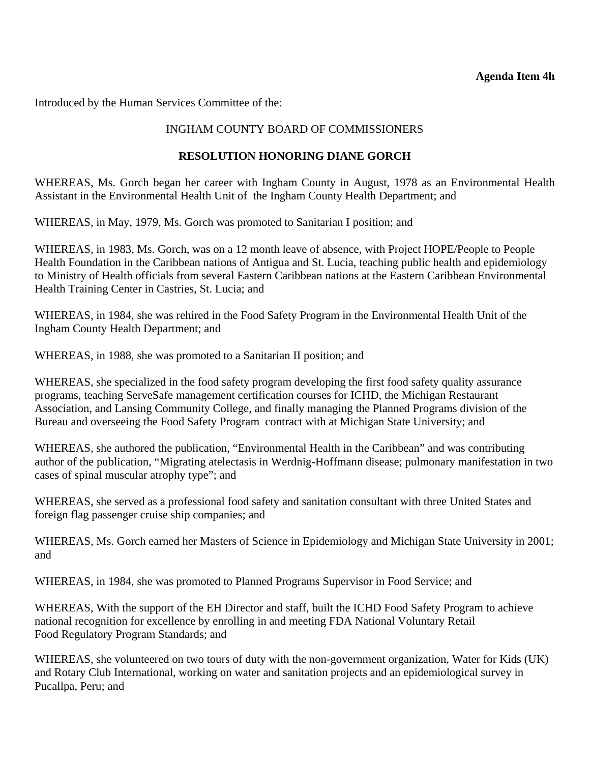#### **Agenda Item 4h**

<span id="page-36-0"></span>Introduced by the Human Services Committee of the:

# INGHAM COUNTY BOARD OF COMMISSIONERS

# **RESOLUTION HONORING DIANE GORCH**

WHEREAS, Ms. Gorch began her career with Ingham County in August, 1978 as an Environmental Health Assistant in the Environmental Health Unit of the Ingham County Health Department; and

WHEREAS, in May, 1979, Ms. Gorch was promoted to Sanitarian I position; and

WHEREAS, in 1983, Ms. Gorch, was on a 12 month leave of absence, with Project HOPE/People to People Health Foundation in the Caribbean nations of Antigua and St. Lucia, teaching public health and epidemiology to Ministry of Health officials from several Eastern Caribbean nations at the Eastern Caribbean Environmental Health Training Center in Castries, St. Lucia; and

WHEREAS, in 1984, she was rehired in the Food Safety Program in the Environmental Health Unit of the Ingham County Health Department; and

WHEREAS, in 1988, she was promoted to a Sanitarian II position; and

WHEREAS, she specialized in the food safety program developing the first food safety quality assurance programs, teaching ServeSafe management certification courses for ICHD, the Michigan Restaurant Association, and Lansing Community College, and finally managing the Planned Programs division of the Bureau and overseeing the Food Safety Program contract with at Michigan State University; and

WHEREAS, she authored the publication, "Environmental Health in the Caribbean" and was contributing author of the publication, "Migrating atelectasis in Werdnig-Hoffmann disease; pulmonary manifestation in two cases of spinal muscular atrophy type"; and

WHEREAS, she served as a professional food safety and sanitation consultant with three United States and foreign flag passenger cruise ship companies; and

WHEREAS, Ms. Gorch earned her Masters of Science in Epidemiology and Michigan State University in 2001; and

WHEREAS, in 1984, she was promoted to Planned Programs Supervisor in Food Service; and

WHEREAS, With the support of the EH Director and staff, built the ICHD Food Safety Program to achieve national recognition for excellence by enrolling in and meeting FDA National Voluntary Retail Food Regulatory Program Standards; and

WHEREAS, she volunteered on two tours of duty with the non-government organization, Water for Kids (UK) and Rotary Club International, working on water and sanitation projects and an epidemiological survey in Pucallpa, Peru; and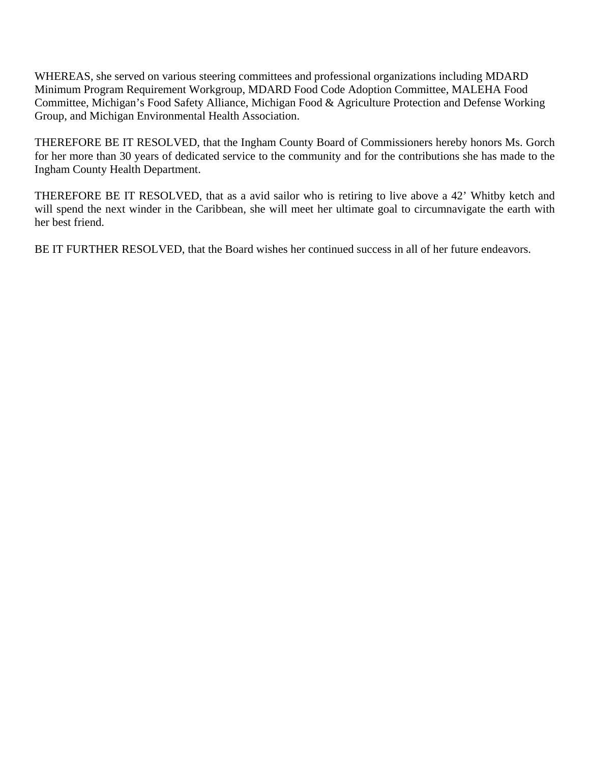WHEREAS, she served on various steering committees and professional organizations including MDARD Minimum Program Requirement Workgroup, MDARD Food Code Adoption Committee, MALEHA Food Committee, Michigan's Food Safety Alliance, Michigan Food & Agriculture Protection and Defense Working Group, and Michigan Environmental Health Association.

THEREFORE BE IT RESOLVED, that the Ingham County Board of Commissioners hereby honors Ms. Gorch for her more than 30 years of dedicated service to the community and for the contributions she has made to the Ingham County Health Department.

THEREFORE BE IT RESOLVED, that as a avid sailor who is retiring to live above a 42' Whitby ketch and will spend the next winder in the Caribbean, she will meet her ultimate goal to circumnavigate the earth with her best friend.

BE IT FURTHER RESOLVED, that the Board wishes her continued success in all of her future endeavors.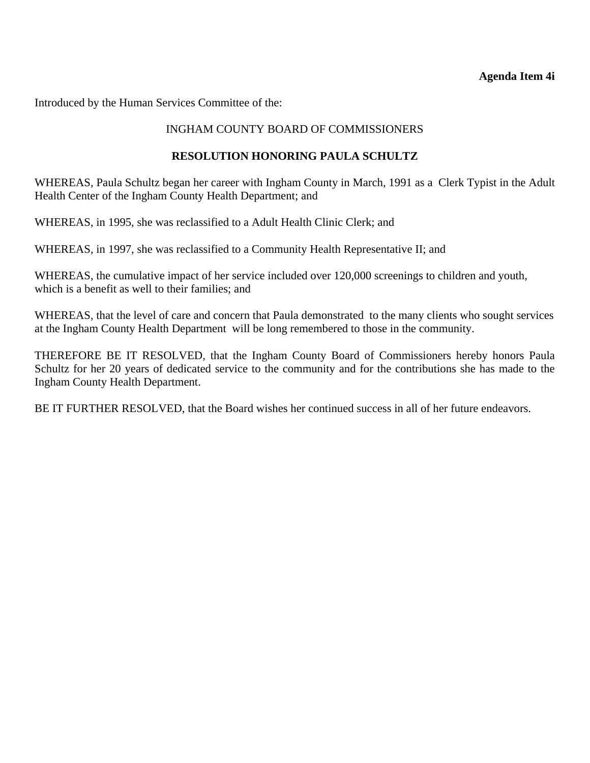#### **Agenda Item 4i**

<span id="page-38-0"></span>Introduced by the Human Services Committee of the:

# INGHAM COUNTY BOARD OF COMMISSIONERS

# **RESOLUTION HONORING PAULA SCHULTZ**

WHEREAS, Paula Schultz began her career with Ingham County in March, 1991 as a Clerk Typist in the Adult Health Center of the Ingham County Health Department; and

WHEREAS, in 1995, she was reclassified to a Adult Health Clinic Clerk; and

WHEREAS, in 1997, she was reclassified to a Community Health Representative II; and

WHEREAS, the cumulative impact of her service included over 120,000 screenings to children and youth, which is a benefit as well to their families; and

WHEREAS, that the level of care and concern that Paula demonstrated to the many clients who sought services at the Ingham County Health Department will be long remembered to those in the community.

THEREFORE BE IT RESOLVED, that the Ingham County Board of Commissioners hereby honors Paula Schultz for her 20 years of dedicated service to the community and for the contributions she has made to the Ingham County Health Department.

BE IT FURTHER RESOLVED, that the Board wishes her continued success in all of her future endeavors.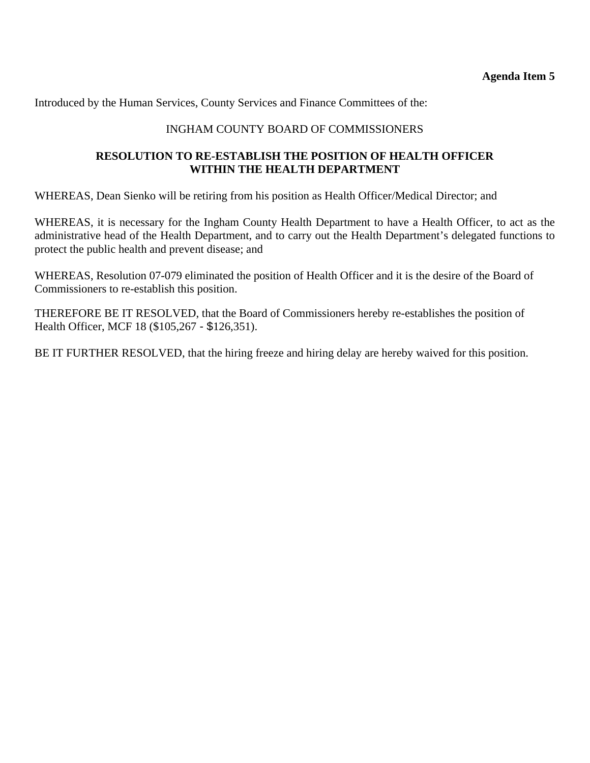<span id="page-39-0"></span>Introduced by the Human Services, County Services and Finance Committees of the:

# INGHAM COUNTY BOARD OF COMMISSIONERS

# **RESOLUTION TO RE-ESTABLISH THE POSITION OF HEALTH OFFICER WITHIN THE HEALTH DEPARTMENT**

WHEREAS, Dean Sienko will be retiring from his position as Health Officer/Medical Director; and

WHEREAS, it is necessary for the Ingham County Health Department to have a Health Officer, to act as the administrative head of the Health Department, and to carry out the Health Department's delegated functions to protect the public health and prevent disease; and

WHEREAS, Resolution 07-079 eliminated the position of Health Officer and it is the desire of the Board of Commissioners to re-establish this position.

THEREFORE BE IT RESOLVED, that the Board of Commissioners hereby re-establishes the position of Health Officer, MCF 18 (\$105,267 - \$126,351).

BE IT FURTHER RESOLVED, that the hiring freeze and hiring delay are hereby waived for this position.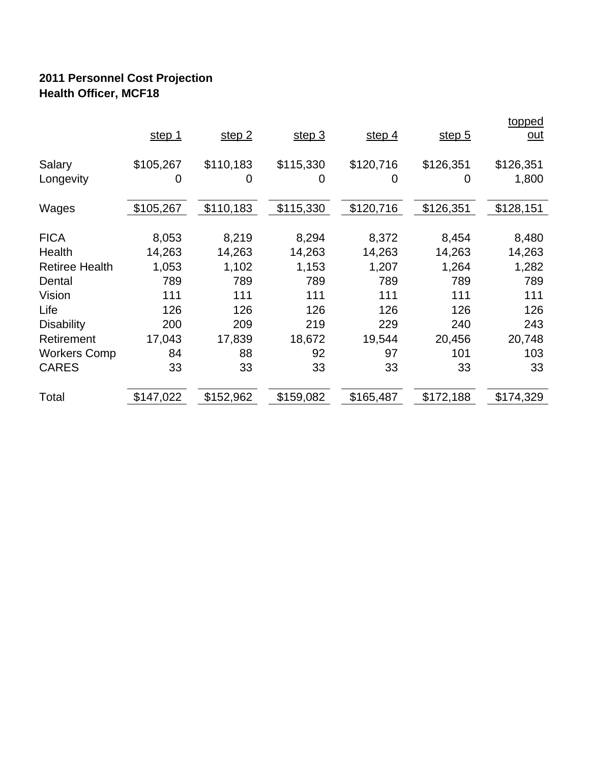# **2011 Personnel Cost Projection Health Officer, MCF18**

|                       | step 1    | step 2    | step 3    | step 4    | step $5$  | <u>topped</u><br><u>out</u> |
|-----------------------|-----------|-----------|-----------|-----------|-----------|-----------------------------|
| Salary                | \$105,267 | \$110,183 | \$115,330 | \$120,716 | \$126,351 | \$126,351                   |
| Longevity             | 0         | 0         | 0         | 0         | 0         | 1,800                       |
| Wages                 | \$105,267 | \$110,183 | \$115,330 | \$120,716 | \$126,351 | \$128,151                   |
| <b>FICA</b>           | 8,053     | 8,219     | 8,294     | 8,372     | 8,454     | 8,480                       |
| Health                | 14,263    | 14,263    | 14,263    | 14,263    | 14,263    | 14,263                      |
| <b>Retiree Health</b> | 1,053     | 1,102     | 1,153     | 1,207     | 1,264     | 1,282                       |
| Dental                | 789       | 789       | 789       | 789       | 789       | 789                         |
| Vision                | 111       | 111       | 111       | 111       | 111       | 111                         |
| Life                  | 126       | 126       | 126       | 126       | 126       | 126                         |
| <b>Disability</b>     | 200       | 209       | 219       | 229       | 240       | 243                         |
| Retirement            | 17,043    | 17,839    | 18,672    | 19,544    | 20,456    | 20,748                      |
| <b>Workers Comp</b>   | 84        | 88        | 92        | 97        | 101       | 103                         |
| <b>CARES</b>          | 33        | 33        | 33        | 33        | 33        | 33                          |
| Total                 | \$147,022 | \$152,962 | \$159,082 | \$165,487 | \$172,188 | \$174,329                   |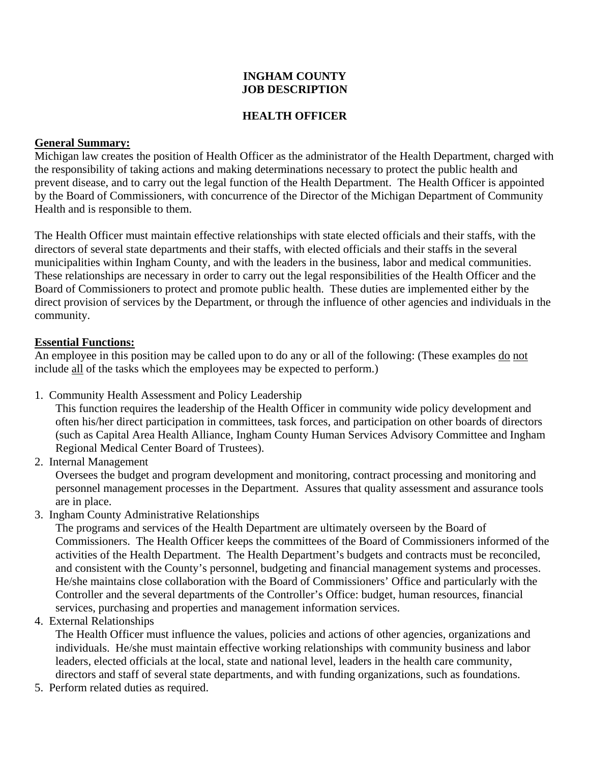#### **INGHAM COUNTY JOB DESCRIPTION**

# **HEALTH OFFICER**

### **General Summary:**

Michigan law creates the position of Health Officer as the administrator of the Health Department, charged with the responsibility of taking actions and making determinations necessary to protect the public health and prevent disease, and to carry out the legal function of the Health Department. The Health Officer is appointed by the Board of Commissioners, with concurrence of the Director of the Michigan Department of Community Health and is responsible to them.

The Health Officer must maintain effective relationships with state elected officials and their staffs, with the directors of several state departments and their staffs, with elected officials and their staffs in the several municipalities within Ingham County, and with the leaders in the business, labor and medical communities. These relationships are necessary in order to carry out the legal responsibilities of the Health Officer and the Board of Commissioners to protect and promote public health. These duties are implemented either by the direct provision of services by the Department, or through the influence of other agencies and individuals in the community.

#### **Essential Functions:**

An employee in this position may be called upon to do any or all of the following: (These examples do not include all of the tasks which the employees may be expected to perform.)

1. Community Health Assessment and Policy Leadership

This function requires the leadership of the Health Officer in community wide policy development and often his/her direct participation in committees, task forces, and participation on other boards of directors (such as Capital Area Health Alliance, Ingham County Human Services Advisory Committee and Ingham Regional Medical Center Board of Trustees).

2. Internal Management

Oversees the budget and program development and monitoring, contract processing and monitoring and personnel management processes in the Department. Assures that quality assessment and assurance tools are in place.

3. Ingham County Administrative Relationships

The programs and services of the Health Department are ultimately overseen by the Board of Commissioners. The Health Officer keeps the committees of the Board of Commissioners informed of the activities of the Health Department. The Health Department's budgets and contracts must be reconciled, and consistent with the County's personnel, budgeting and financial management systems and processes. He/she maintains close collaboration with the Board of Commissioners' Office and particularly with the Controller and the several departments of the Controller's Office: budget, human resources, financial services, purchasing and properties and management information services.

4. External Relationships

The Health Officer must influence the values, policies and actions of other agencies, organizations and individuals. He/she must maintain effective working relationships with community business and labor leaders, elected officials at the local, state and national level, leaders in the health care community, directors and staff of several state departments, and with funding organizations, such as foundations.

5. Perform related duties as required.